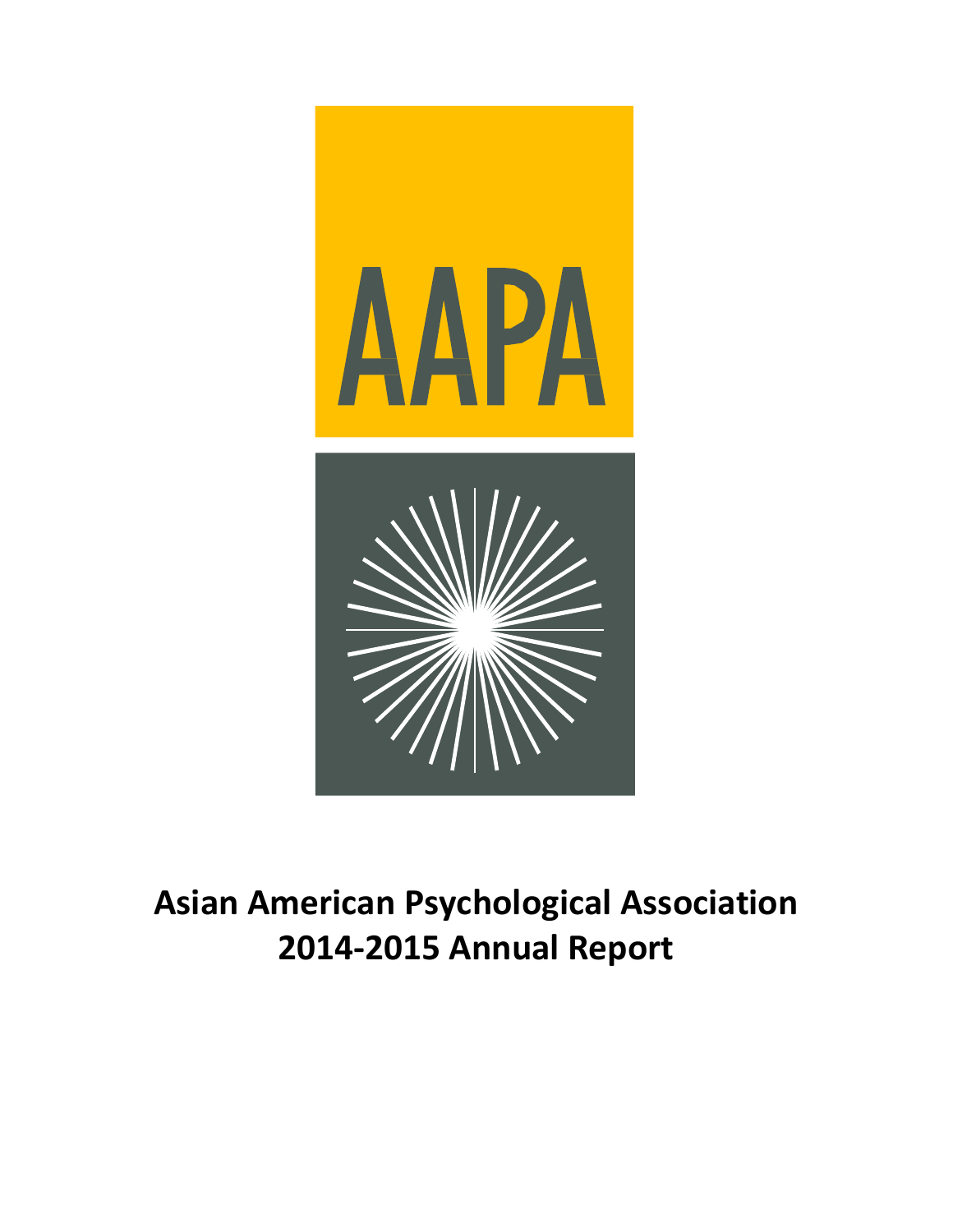

# **Asian American Psychological Association 2014-2015 Annual Report**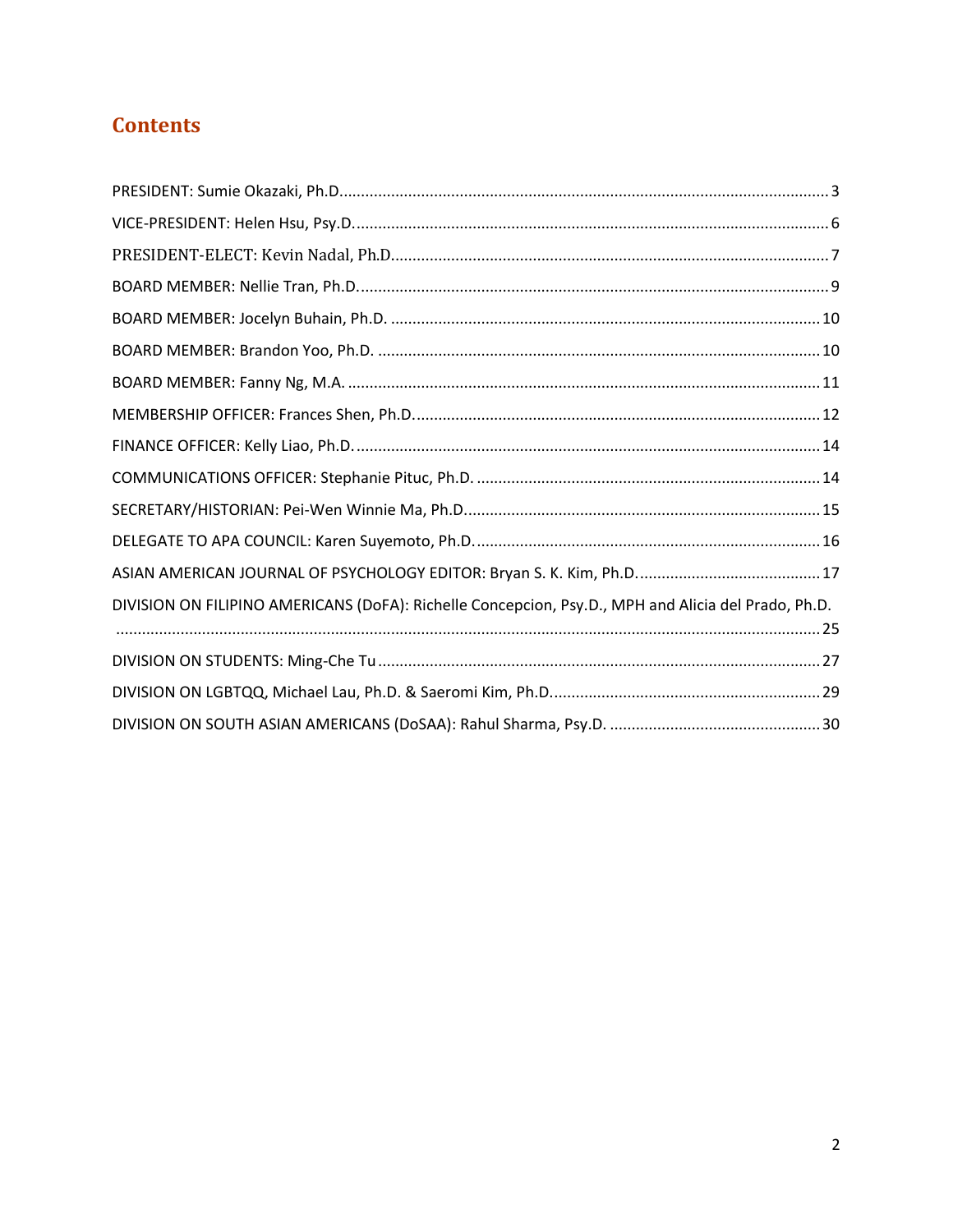## **Contents**

| DIVISION ON FILIPINO AMERICANS (DoFA): Richelle Concepcion, Psy.D., MPH and Alicia del Prado, Ph.D. |  |
|-----------------------------------------------------------------------------------------------------|--|
|                                                                                                     |  |
|                                                                                                     |  |
|                                                                                                     |  |
|                                                                                                     |  |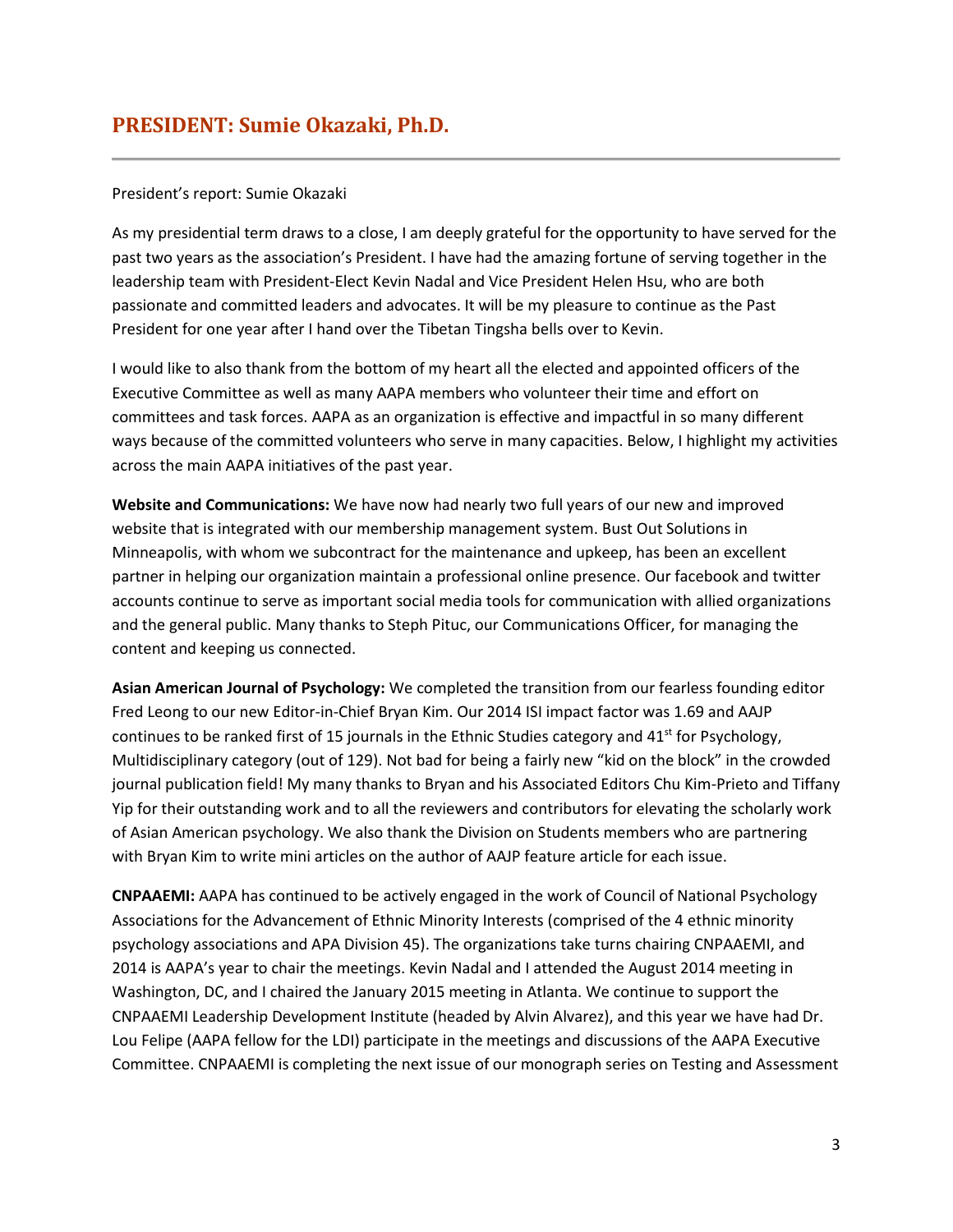## <span id="page-2-0"></span>President's report: Sumie Okazaki

As my presidential term draws to a close, I am deeply grateful for the opportunity to have served for the past two years as the association's President. I have had the amazing fortune of serving together in the leadership team with President-Elect Kevin Nadal and Vice President Helen Hsu, who are both passionate and committed leaders and advocates. It will be my pleasure to continue as the Past President for one year after I hand over the Tibetan Tingsha bells over to Kevin.

I would like to also thank from the bottom of my heart all the elected and appointed officers of the Executive Committee as well as many AAPA members who volunteer their time and effort on committees and task forces. AAPA as an organization is effective and impactful in so many different ways because of the committed volunteers who serve in many capacities. Below, I highlight my activities across the main AAPA initiatives of the past year.

**Website and Communications:** We have now had nearly two full years of our new and improved website that is integrated with our membership management system. Bust Out Solutions in Minneapolis, with whom we subcontract for the maintenance and upkeep, has been an excellent partner in helping our organization maintain a professional online presence. Our facebook and twitter accounts continue to serve as important social media tools for communication with allied organizations and the general public. Many thanks to Steph Pituc, our Communications Officer, for managing the content and keeping us connected.

**Asian American Journal of Psychology:** We completed the transition from our fearless founding editor Fred Leong to our new Editor-in-Chief Bryan Kim. Our 2014 ISI impact factor was 1.69 and AAJP continues to be ranked first of 15 journals in the Ethnic Studies category and  $41<sup>st</sup>$  for Psychology, Multidisciplinary category (out of 129). Not bad for being a fairly new "kid on the block" in the crowded journal publication field! My many thanks to Bryan and his Associated Editors Chu Kim-Prieto and Tiffany Yip for their outstanding work and to all the reviewers and contributors for elevating the scholarly work of Asian American psychology. We also thank the Division on Students members who are partnering with Bryan Kim to write mini articles on the author of AAJP feature article for each issue.

**CNPAAEMI:** AAPA has continued to be actively engaged in the work of Council of National Psychology Associations for the Advancement of Ethnic Minority Interests (comprised of the 4 ethnic minority psychology associations and APA Division 45). The organizations take turns chairing CNPAAEMI, and 2014 is AAPA's year to chair the meetings. Kevin Nadal and I attended the August 2014 meeting in Washington, DC, and I chaired the January 2015 meeting in Atlanta. We continue to support the CNPAAEMI Leadership Development Institute (headed by Alvin Alvarez), and this year we have had Dr. Lou Felipe (AAPA fellow for the LDI) participate in the meetings and discussions of the AAPA Executive Committee. CNPAAEMI is completing the next issue of our monograph series on Testing and Assessment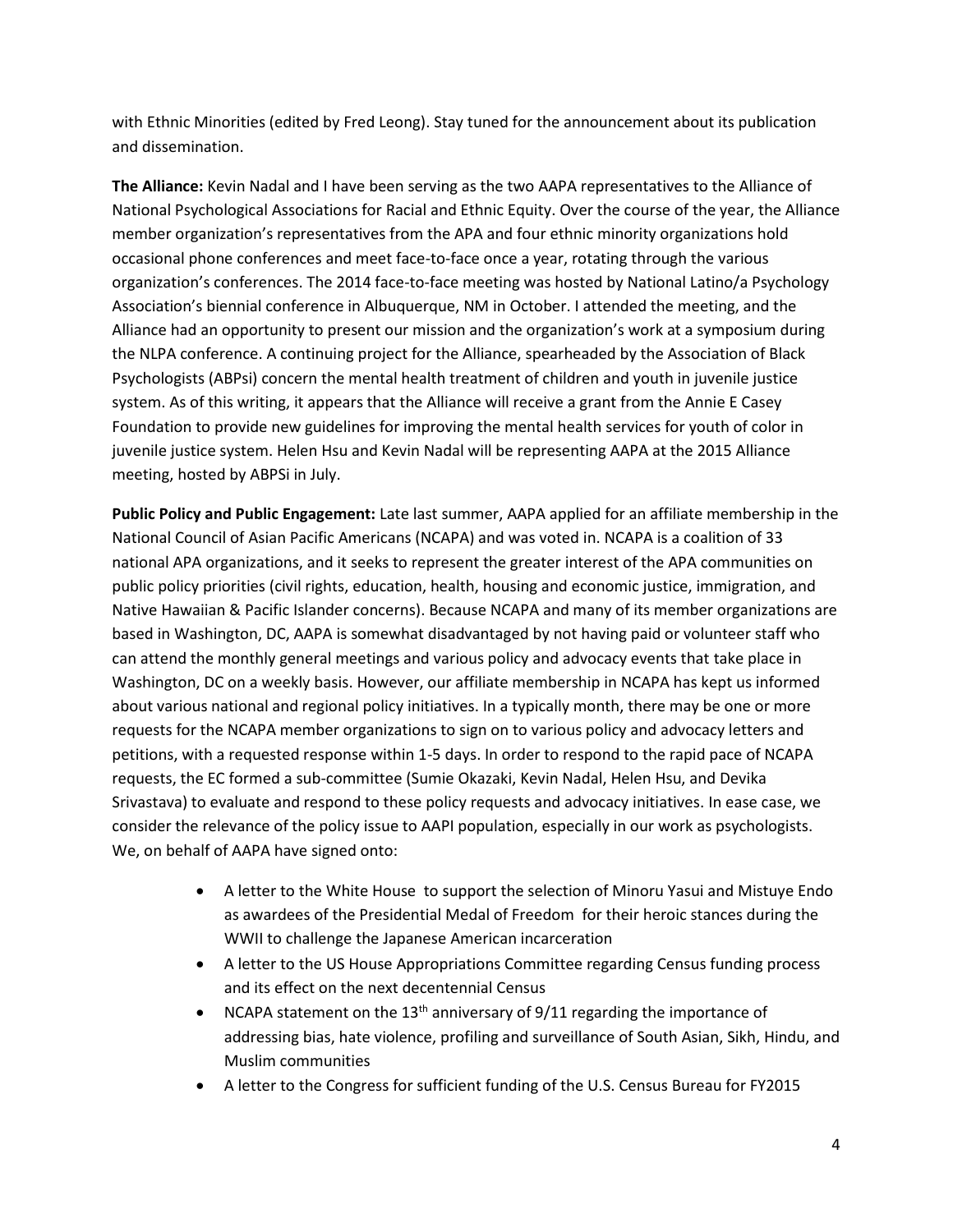with Ethnic Minorities (edited by Fred Leong). Stay tuned for the announcement about its publication and dissemination.

**The Alliance:** Kevin Nadal and I have been serving as the two AAPA representatives to the Alliance of National Psychological Associations for Racial and Ethnic Equity. Over the course of the year, the Alliance member organization's representatives from the APA and four ethnic minority organizations hold occasional phone conferences and meet face-to-face once a year, rotating through the various organization's conferences. The 2014 face-to-face meeting was hosted by National Latino/a Psychology Association's biennial conference in Albuquerque, NM in October. I attended the meeting, and the Alliance had an opportunity to present our mission and the organization's work at a symposium during the NLPA conference. A continuing project for the Alliance, spearheaded by the Association of Black Psychologists (ABPsi) concern the mental health treatment of children and youth in juvenile justice system. As of this writing, it appears that the Alliance will receive a grant from the Annie E Casey Foundation to provide new guidelines for improving the mental health services for youth of color in juvenile justice system. Helen Hsu and Kevin Nadal will be representing AAPA at the 2015 Alliance meeting, hosted by ABPSi in July.

**Public Policy and Public Engagement:** Late last summer, AAPA applied for an affiliate membership in the National Council of Asian Pacific Americans (NCAPA) and was voted in. NCAPA is a coalition of 33 national APA organizations, and it seeks to represent the greater interest of the APA communities on public policy priorities (civil rights, education, health, housing and economic justice, immigration, and Native Hawaiian & Pacific Islander concerns). Because NCAPA and many of its member organizations are based in Washington, DC, AAPA is somewhat disadvantaged by not having paid or volunteer staff who can attend the monthly general meetings and various policy and advocacy events that take place in Washington, DC on a weekly basis. However, our affiliate membership in NCAPA has kept us informed about various national and regional policy initiatives. In a typically month, there may be one or more requests for the NCAPA member organizations to sign on to various policy and advocacy letters and petitions, with a requested response within 1-5 days. In order to respond to the rapid pace of NCAPA requests, the EC formed a sub-committee (Sumie Okazaki, Kevin Nadal, Helen Hsu, and Devika Srivastava) to evaluate and respond to these policy requests and advocacy initiatives. In ease case, we consider the relevance of the policy issue to AAPI population, especially in our work as psychologists. We, on behalf of AAPA have signed onto:

- A letter to the White House to support the selection of Minoru Yasui and Mistuye Endo as awardees of the Presidential Medal of Freedom for their heroic stances during the WWII to challenge the Japanese American incarceration
- A letter to the US House Appropriations Committee regarding Census funding process and its effect on the next decentennial Census
- NCAPA statement on the 13<sup>th</sup> anniversary of  $9/11$  regarding the importance of addressing bias, hate violence, profiling and surveillance of South Asian, Sikh, Hindu, and Muslim communities
- A letter to the Congress for sufficient funding of the U.S. Census Bureau for FY2015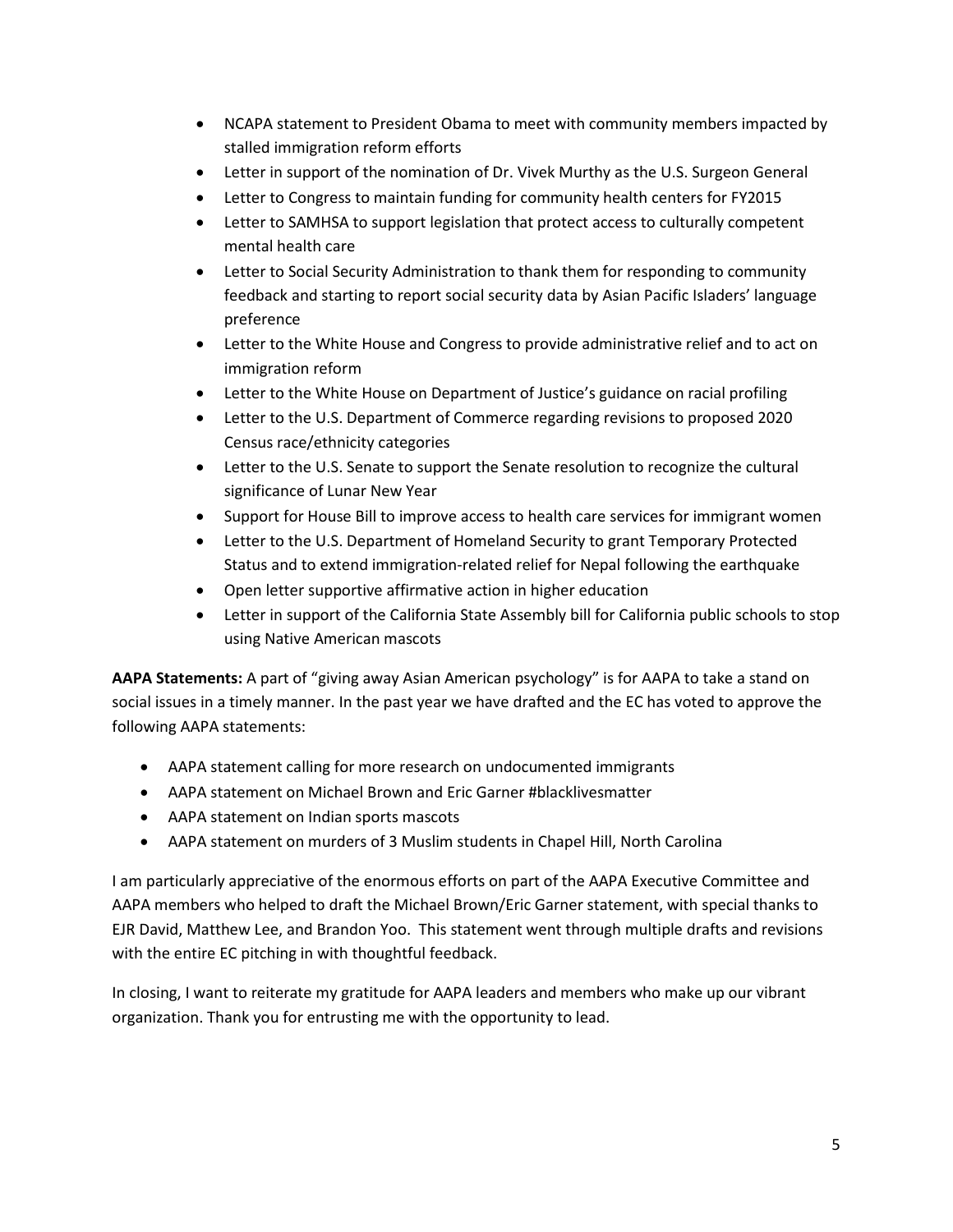- NCAPA statement to President Obama to meet with community members impacted by stalled immigration reform efforts
- Letter in support of the nomination of Dr. Vivek Murthy as the U.S. Surgeon General
- Letter to Congress to maintain funding for community health centers for FY2015
- Letter to SAMHSA to support legislation that protect access to culturally competent mental health care
- Letter to Social Security Administration to thank them for responding to community feedback and starting to report social security data by Asian Pacific Isladers' language preference
- Letter to the White House and Congress to provide administrative relief and to act on immigration reform
- Letter to the White House on Department of Justice's guidance on racial profiling
- Letter to the U.S. Department of Commerce regarding revisions to proposed 2020 Census race/ethnicity categories
- Letter to the U.S. Senate to support the Senate resolution to recognize the cultural significance of Lunar New Year
- Support for House Bill to improve access to health care services for immigrant women
- Letter to the U.S. Department of Homeland Security to grant Temporary Protected Status and to extend immigration-related relief for Nepal following the earthquake
- Open letter supportive affirmative action in higher education
- Letter in support of the California State Assembly bill for California public schools to stop using Native American mascots

**AAPA Statements:** A part of "giving away Asian American psychology" is for AAPA to take a stand on social issues in a timely manner. In the past year we have drafted and the EC has voted to approve the following AAPA statements:

- AAPA statement calling for more research on undocumented immigrants
- AAPA statement on Michael Brown and Eric Garner #blacklivesmatter
- AAPA statement on Indian sports mascots
- AAPA statement on murders of 3 Muslim students in Chapel Hill, North Carolina

I am particularly appreciative of the enormous efforts on part of the AAPA Executive Committee and AAPA members who helped to draft the Michael Brown/Eric Garner statement, with special thanks to EJR David, Matthew Lee, and Brandon Yoo. This statement went through multiple drafts and revisions with the entire EC pitching in with thoughtful feedback.

In closing, I want to reiterate my gratitude for AAPA leaders and members who make up our vibrant organization. Thank you for entrusting me with the opportunity to lead.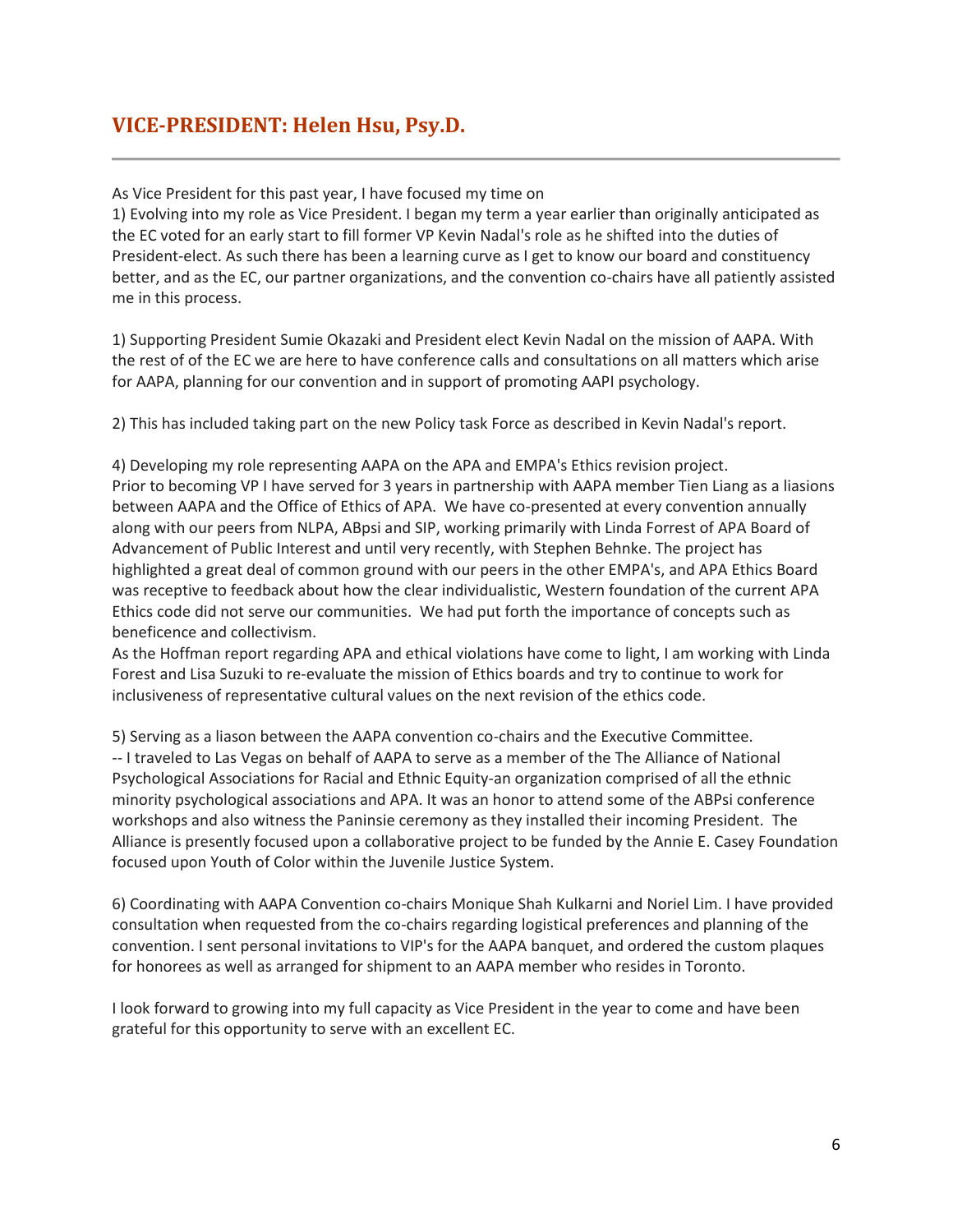## <span id="page-5-0"></span>**VICE-PRESIDENT: Helen Hsu, Psy.D.**

As Vice President for this past year, I have focused my time on

1) Evolving into my role as Vice President. I began my term a year earlier than originally anticipated as the EC voted for an early start to fill former VP Kevin Nadal's role as he shifted into the duties of President-elect. As such there has been a learning curve as I get to know our board and constituency better, and as the EC, our partner organizations, and the convention co-chairs have all patiently assisted me in this process.

1) Supporting President Sumie Okazaki and President elect Kevin Nadal on the mission of AAPA. With the rest of of the EC we are here to have conference calls and consultations on all matters which arise for AAPA, planning for our convention and in support of promoting AAPI psychology.

2) This has included taking part on the new Policy task Force as described in Kevin Nadal's report.

4) Developing my role representing AAPA on the APA and EMPA's Ethics revision project. Prior to becoming VP I have served for 3 years in partnership with AAPA member Tien Liang as a liasions between AAPA and the Office of Ethics of APA. We have co-presented at every convention annually along with our peers from NLPA, ABpsi and SIP, working primarily with Linda Forrest of APA Board of Advancement of Public Interest and until very recently, with Stephen Behnke. The project has highlighted a great deal of common ground with our peers in the other EMPA's, and APA Ethics Board was receptive to feedback about how the clear individualistic, Western foundation of the current APA Ethics code did not serve our communities. We had put forth the importance of concepts such as beneficence and collectivism.

As the Hoffman report regarding APA and ethical violations have come to light, I am working with Linda Forest and Lisa Suzuki to re-evaluate the mission of Ethics boards and try to continue to work for inclusiveness of representative cultural values on the next revision of the ethics code.

5) Serving as a liason between the AAPA convention co-chairs and the Executive Committee. -- I traveled to Las Vegas on behalf of AAPA to serve as a member of the The Alliance of National Psychological Associations for Racial and Ethnic Equity-an organization comprised of all the ethnic minority psychological associations and APA. It was an honor to attend some of the ABPsi conference workshops and also witness the Paninsie ceremony as they installed their incoming President. The Alliance is presently focused upon a collaborative project to be funded by the Annie E. Casey Foundation focused upon Youth of Color within the Juvenile Justice System.

6) Coordinating with AAPA Convention co-chairs Monique Shah Kulkarni and Noriel Lim. I have provided consultation when requested from the co-chairs regarding logistical preferences and planning of the convention. I sent personal invitations to VIP's for the AAPA banquet, and ordered the custom plaques for honorees as well as arranged for shipment to an AAPA member who resides in Toronto.

I look forward to growing into my full capacity as Vice President in the year to come and have been grateful for this opportunity to serve with an excellent EC.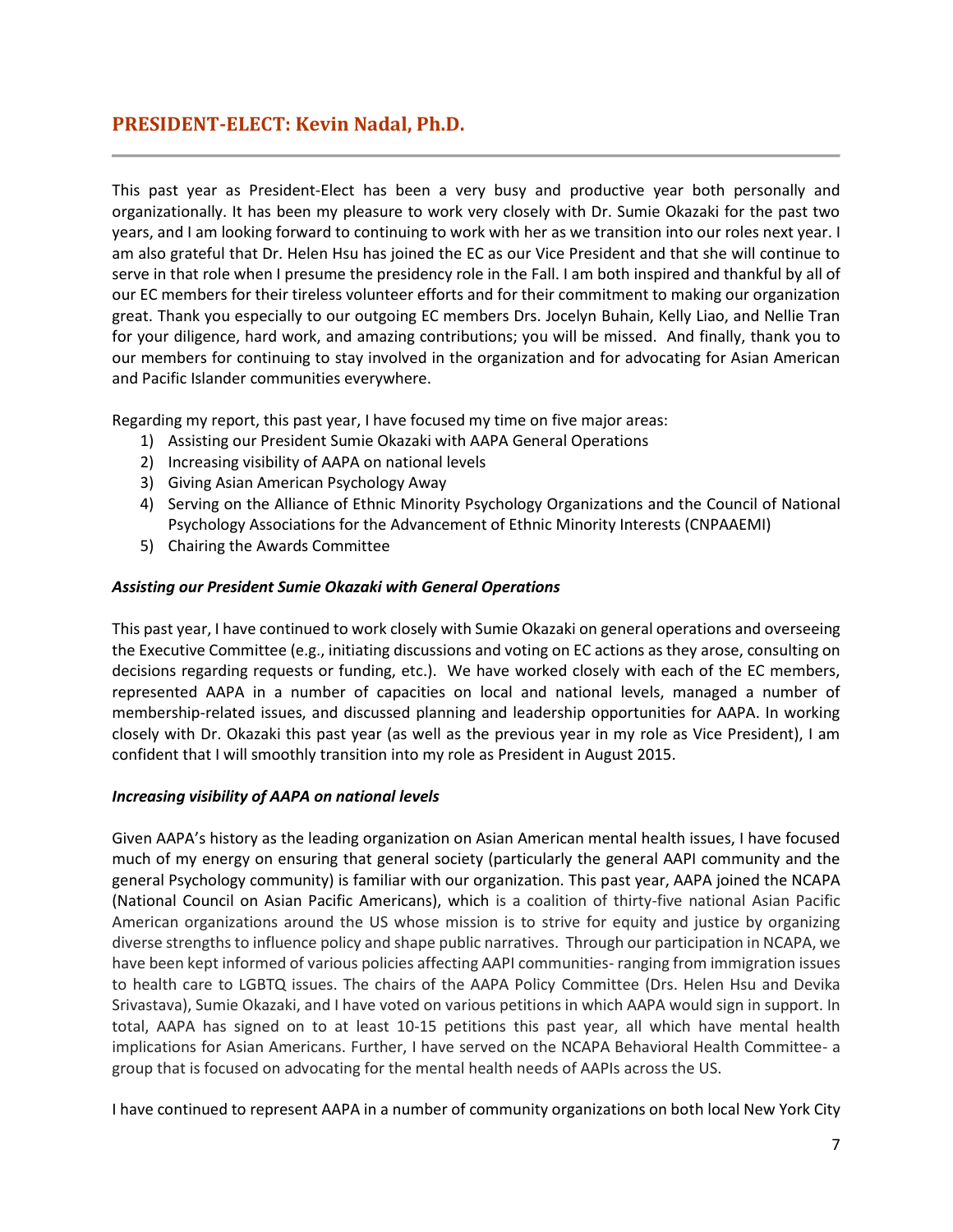## <span id="page-6-0"></span>**PRESIDENT-ELECT: Kevin Nadal, Ph.D.**

This past year as President-Elect has been a very busy and productive year both personally and organizationally. It has been my pleasure to work very closely with Dr. Sumie Okazaki for the past two years, and I am looking forward to continuing to work with her as we transition into our roles next year. I am also grateful that Dr. Helen Hsu has joined the EC as our Vice President and that she will continue to serve in that role when I presume the presidency role in the Fall. I am both inspired and thankful by all of our EC members for their tireless volunteer efforts and for their commitment to making our organization great. Thank you especially to our outgoing EC members Drs. Jocelyn Buhain, Kelly Liao, and Nellie Tran for your diligence, hard work, and amazing contributions; you will be missed. And finally, thank you to our members for continuing to stay involved in the organization and for advocating for Asian American and Pacific Islander communities everywhere.

Regarding my report, this past year, I have focused my time on five major areas:

- 1) Assisting our President Sumie Okazaki with AAPA General Operations
- 2) Increasing visibility of AAPA on national levels
- 3) Giving Asian American Psychology Away
- 4) Serving on the Alliance of Ethnic Minority Psychology Organizations and the Council of National Psychology Associations for the Advancement of Ethnic Minority Interests (CNPAAEMI)
- 5) Chairing the Awards Committee

## *Assisting our President Sumie Okazaki with General Operations*

This past year, I have continued to work closely with Sumie Okazaki on general operations and overseeing the Executive Committee (e.g., initiating discussions and voting on EC actions as they arose, consulting on decisions regarding requests or funding, etc.). We have worked closely with each of the EC members, represented AAPA in a number of capacities on local and national levels, managed a number of membership-related issues, and discussed planning and leadership opportunities for AAPA. In working closely with Dr. Okazaki this past year (as well as the previous year in my role as Vice President), I am confident that I will smoothly transition into my role as President in August 2015.

## *Increasing visibility of AAPA on national levels*

Given AAPA's history as the leading organization on Asian American mental health issues, I have focused much of my energy on ensuring that general society (particularly the general AAPI community and the general Psychology community) is familiar with our organization. This past year, AAPA joined the NCAPA (National Council on Asian Pacific Americans), which is a coalition of thirty-five national Asian Pacific American organizations around the US whose mission is to strive for equity and justice by organizing diverse strengthsto influence policy and shape public narratives. Through our participation in NCAPA, we have been kept informed of various policies affecting AAPI communities- ranging from immigration issues to health care to LGBTQ issues. The chairs of the AAPA Policy Committee (Drs. Helen Hsu and Devika Srivastava), Sumie Okazaki, and I have voted on various petitions in which AAPA would sign in support. In total, AAPA has signed on to at least 10-15 petitions this past year, all which have mental health implications for Asian Americans. Further, I have served on the NCAPA Behavioral Health Committee- a group that is focused on advocating for the mental health needs of AAPIs across the US.

I have continued to represent AAPA in a number of community organizations on both local New York City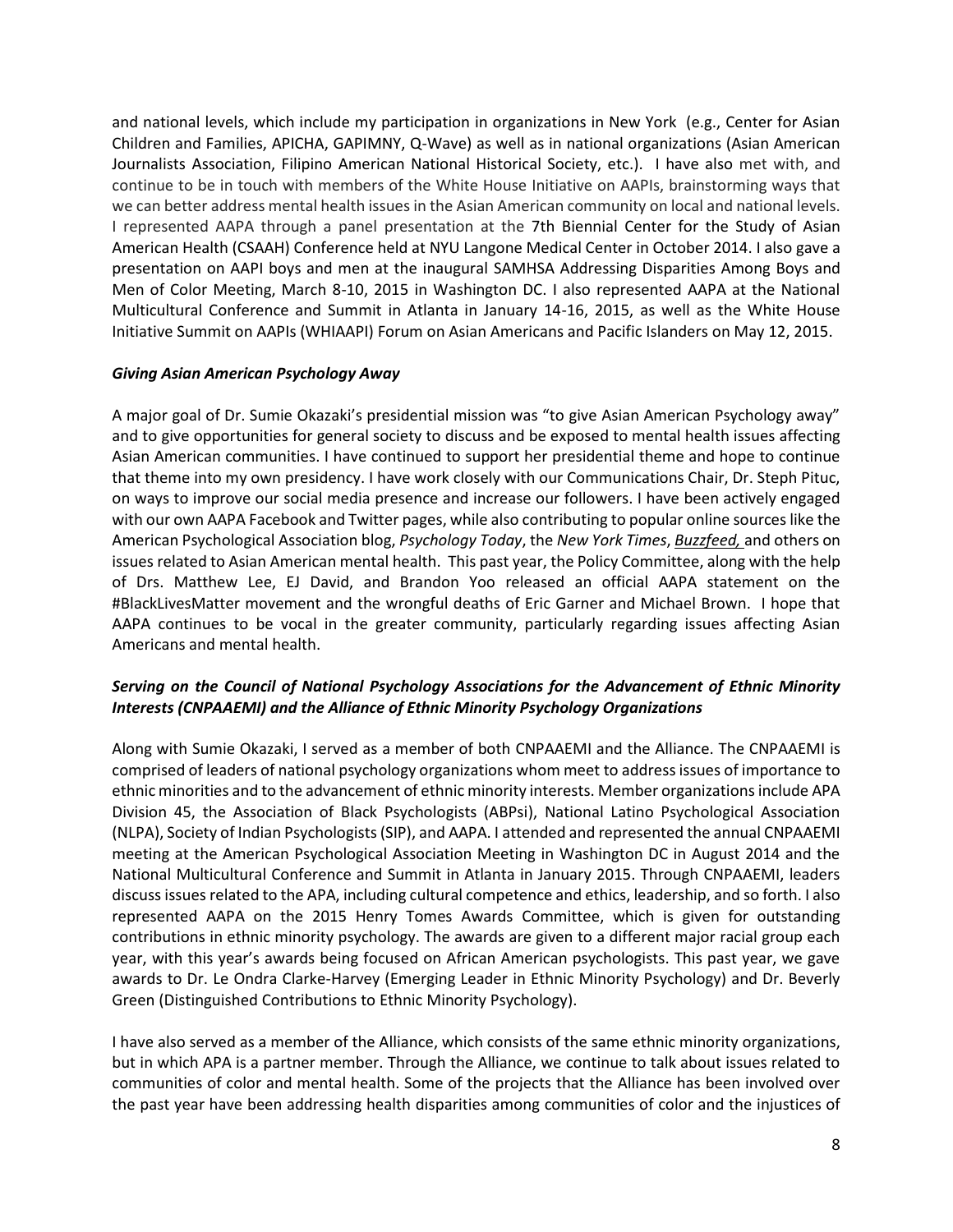and national levels, which include my participation in organizations in New York (e.g., Center for Asian Children and Families, APICHA, GAPIMNY, Q-Wave) as well as in national organizations (Asian American Journalists Association, Filipino American National Historical Society, etc.). I have also met with, and continue to be in touch with members of the White House Initiative on AAPIs, brainstorming ways that we can better address mental health issues in the Asian American community on local and national levels. I represented AAPA through a panel presentation at the 7th Biennial Center for the Study of Asian American Health (CSAAH) Conference held at NYU Langone Medical Center in October 2014. I also gave a presentation on AAPI boys and men at the inaugural SAMHSA Addressing Disparities Among Boys and Men of Color Meeting, March 8-10, 2015 in Washington DC. I also represented AAPA at the National Multicultural Conference and Summit in Atlanta in January 14-16, 2015, as well as the White House Initiative Summit on AAPIs (WHIAAPI) Forum on Asian Americans and Pacific Islanders on May 12, 2015.

## *Giving Asian American Psychology Away*

A major goal of Dr. Sumie Okazaki's presidential mission was "to give Asian American Psychology away" and to give opportunities for general society to discuss and be exposed to mental health issues affecting Asian American communities. I have continued to support her presidential theme and hope to continue that theme into my own presidency. I have work closely with our Communications Chair, Dr. Steph Pituc, on ways to improve our social media presence and increase our followers. I have been actively engaged with our own AAPA Facebook and Twitter pages, while also contributing to popular online sources like the American Psychological Association blog, *Psychology Today*, the *New York Times*, *Buzzfeed,* and others on issues related to Asian American mental health. This past year, the Policy Committee, along with the help of Drs. Matthew Lee, EJ David, and Brandon Yoo released an official AAPA statement on the #BlackLivesMatter movement and the wrongful deaths of Eric Garner and Michael Brown. I hope that AAPA continues to be vocal in the greater community, particularly regarding issues affecting Asian Americans and mental health.

## *Serving on the Council of National Psychology Associations for the Advancement of Ethnic Minority Interests (CNPAAEMI) and the Alliance of Ethnic Minority Psychology Organizations*

Along with Sumie Okazaki, I served as a member of both CNPAAEMI and the Alliance. The CNPAAEMI is comprised of leaders of national psychology organizations whom meet to address issues of importance to ethnic minorities and to the advancement of ethnic minority interests. Member organizations include APA Division 45, the Association of Black Psychologists (ABPsi), National Latino Psychological Association (NLPA), Society of Indian Psychologists (SIP), and AAPA. I attended and represented the annual CNPAAEMI meeting at the American Psychological Association Meeting in Washington DC in August 2014 and the National Multicultural Conference and Summit in Atlanta in January 2015. Through CNPAAEMI, leaders discuss issues related to the APA, including cultural competence and ethics, leadership, and so forth. I also represented AAPA on the 2015 Henry Tomes Awards Committee, which is given for outstanding contributions in ethnic minority psychology. The awards are given to a different major racial group each year, with this year's awards being focused on African American psychologists. This past year, we gave awards to Dr. Le Ondra Clarke-Harvey (Emerging Leader in Ethnic Minority Psychology) and Dr. Beverly Green (Distinguished Contributions to Ethnic Minority Psychology).

I have also served as a member of the Alliance, which consists of the same ethnic minority organizations, but in which APA is a partner member. Through the Alliance, we continue to talk about issues related to communities of color and mental health. Some of the projects that the Alliance has been involved over the past year have been addressing health disparities among communities of color and the injustices of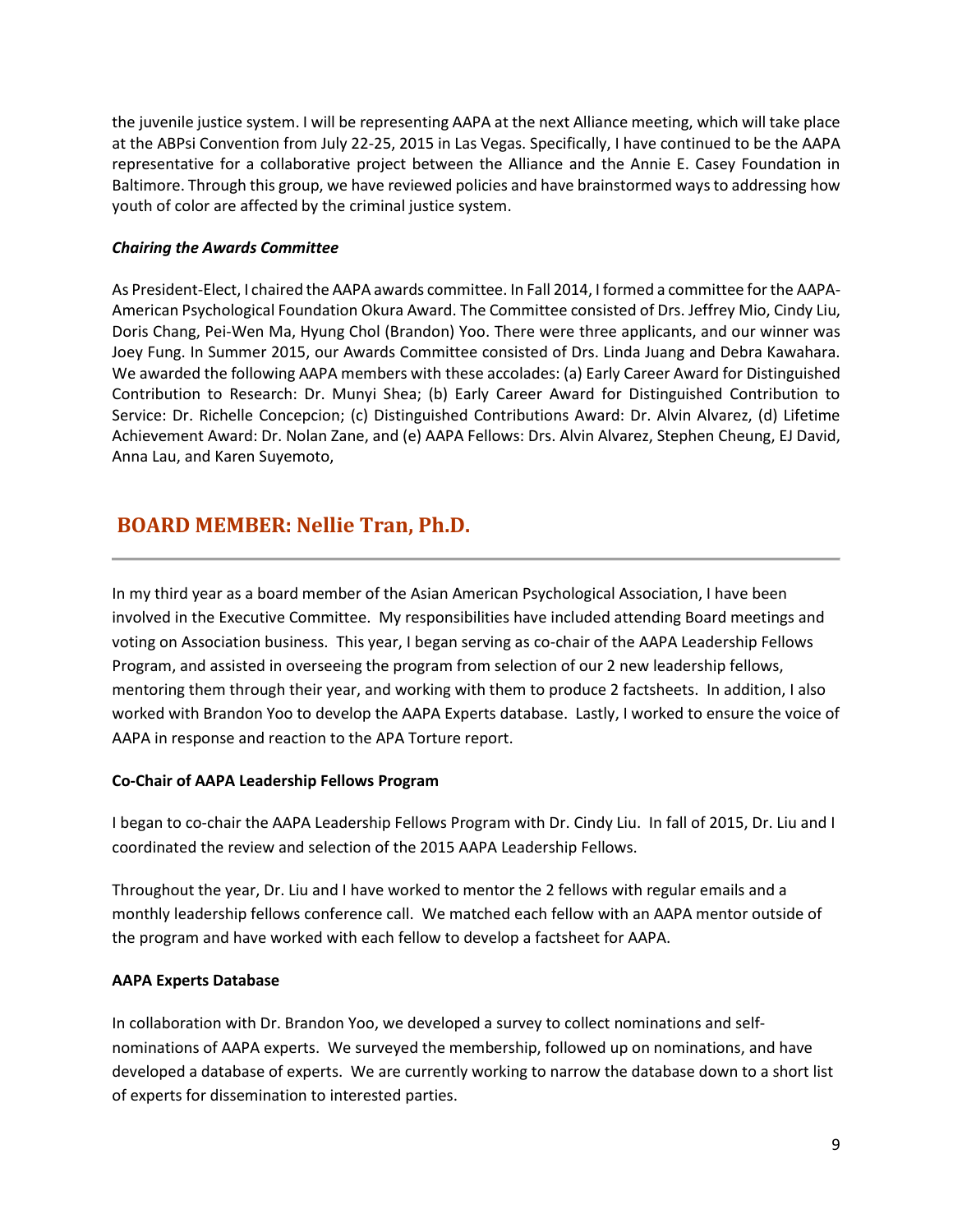the juvenile justice system. I will be representing AAPA at the next Alliance meeting, which will take place at the ABPsi Convention from July 22-25, 2015 in Las Vegas. Specifically, I have continued to be the AAPA representative for a collaborative project between the Alliance and the Annie E. Casey Foundation in Baltimore. Through this group, we have reviewed policies and have brainstormed ways to addressing how youth of color are affected by the criminal justice system.

## *Chairing the Awards Committee*

As President-Elect, I chaired the AAPA awards committee. In Fall 2014, I formed a committee for the AAPA-American Psychological Foundation Okura Award. The Committee consisted of Drs. Jeffrey Mio, Cindy Liu, Doris Chang, Pei-Wen Ma, Hyung Chol (Brandon) Yoo. There were three applicants, and our winner was Joey Fung. In Summer 2015, our Awards Committee consisted of Drs. Linda Juang and Debra Kawahara. We awarded the following AAPA members with these accolades: (a) Early Career Award for Distinguished Contribution to Research: Dr. Munyi Shea; (b) Early Career Award for Distinguished Contribution to Service: Dr. Richelle Concepcion; (c) Distinguished Contributions Award: Dr. Alvin Alvarez, (d) Lifetime Achievement Award: Dr. Nolan Zane, and (e) AAPA Fellows: Drs. Alvin Alvarez, Stephen Cheung, EJ David, Anna Lau, and Karen Suyemoto,

## <span id="page-8-0"></span>**BOARD MEMBER: Nellie Tran, Ph.D.**

In my third year as a board member of the Asian American Psychological Association, I have been involved in the Executive Committee. My responsibilities have included attending Board meetings and voting on Association business. This year, I began serving as co-chair of the AAPA Leadership Fellows Program, and assisted in overseeing the program from selection of our 2 new leadership fellows, mentoring them through their year, and working with them to produce 2 factsheets. In addition, I also worked with Brandon Yoo to develop the AAPA Experts database. Lastly, I worked to ensure the voice of AAPA in response and reaction to the APA Torture report.

## **Co-Chair of AAPA Leadership Fellows Program**

I began to co-chair the AAPA Leadership Fellows Program with Dr. Cindy Liu. In fall of 2015, Dr. Liu and I coordinated the review and selection of the 2015 AAPA Leadership Fellows.

Throughout the year, Dr. Liu and I have worked to mentor the 2 fellows with regular emails and a monthly leadership fellows conference call. We matched each fellow with an AAPA mentor outside of the program and have worked with each fellow to develop a factsheet for AAPA.

## **AAPA Experts Database**

In collaboration with Dr. Brandon Yoo, we developed a survey to collect nominations and selfnominations of AAPA experts. We surveyed the membership, followed up on nominations, and have developed a database of experts. We are currently working to narrow the database down to a short list of experts for dissemination to interested parties.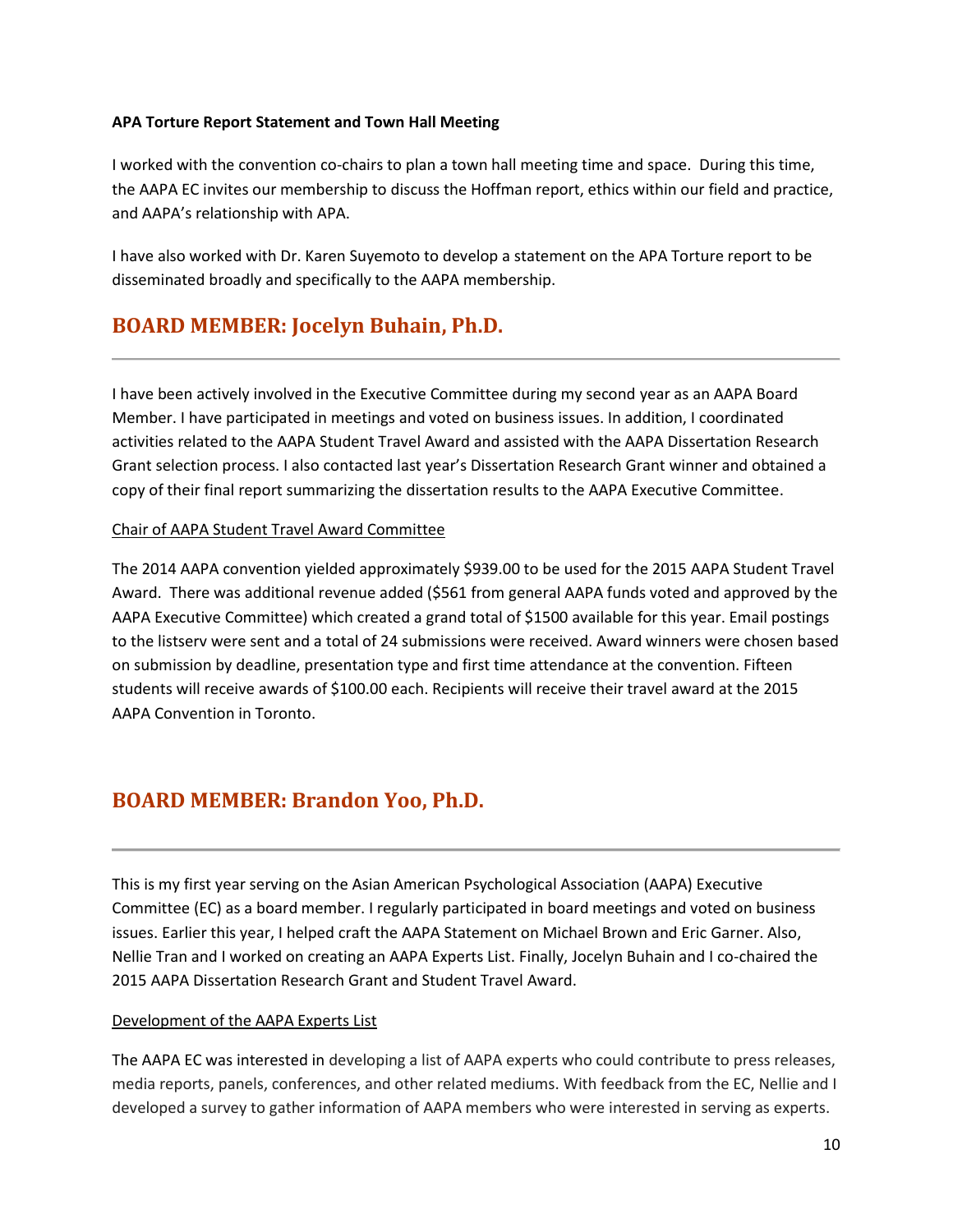## **APA Torture Report Statement and Town Hall Meeting**

I worked with the convention co-chairs to plan a town hall meeting time and space. During this time, the AAPA EC invites our membership to discuss the Hoffman report, ethics within our field and practice, and AAPA's relationship with APA.

I have also worked with Dr. Karen Suyemoto to develop a statement on the APA Torture report to be disseminated broadly and specifically to the AAPA membership.

## <span id="page-9-0"></span>**BOARD MEMBER: Jocelyn Buhain, Ph.D.**

I have been actively involved in the Executive Committee during my second year as an AAPA Board Member. I have participated in meetings and voted on business issues. In addition, I coordinated activities related to the AAPA Student Travel Award and assisted with the AAPA Dissertation Research Grant selection process. I also contacted last year's Dissertation Research Grant winner and obtained a copy of their final report summarizing the dissertation results to the AAPA Executive Committee.

## Chair of AAPA Student Travel Award Committee

The 2014 AAPA convention yielded approximately \$939.00 to be used for the 2015 AAPA Student Travel Award. There was additional revenue added (\$561 from general AAPA funds voted and approved by the AAPA Executive Committee) which created a grand total of \$1500 available for this year. Email postings to the listserv were sent and a total of 24 submissions were received. Award winners were chosen based on submission by deadline, presentation type and first time attendance at the convention. Fifteen students will receive awards of \$100.00 each. Recipients will receive their travel award at the 2015 AAPA Convention in Toronto.

## <span id="page-9-1"></span>**BOARD MEMBER: Brandon Yoo, Ph.D.**

This is my first year serving on the Asian American Psychological Association (AAPA) Executive Committee (EC) as a board member. I regularly participated in board meetings and voted on business issues. Earlier this year, I helped craft the AAPA Statement on Michael Brown and Eric Garner. Also, Nellie Tran and I worked on creating an AAPA Experts List. Finally, Jocelyn Buhain and I co-chaired the 2015 AAPA Dissertation Research Grant and Student Travel Award.

## Development of the AAPA Experts List

The AAPA EC was interested in developing a list of AAPA experts who could contribute to press releases, media reports, panels, conferences, and other related mediums. With feedback from the EC, Nellie and I developed a survey to gather information of AAPA members who were interested in serving as experts.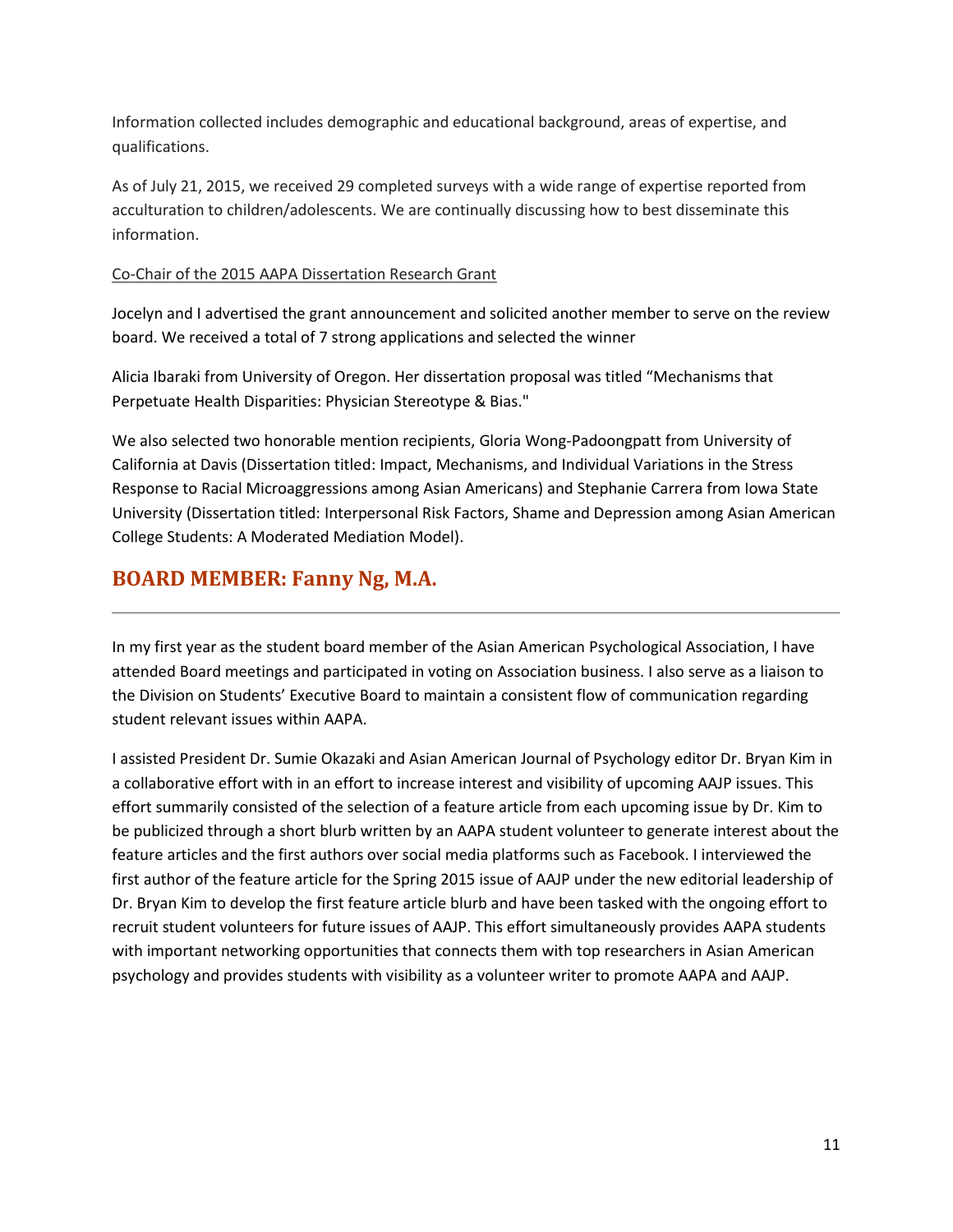Information collected includes demographic and educational background, areas of expertise, and qualifications.

As of July 21, 2015, we received 29 completed surveys with a wide range of expertise reported from acculturation to children/adolescents. We are continually discussing how to best disseminate this information.

## Co-Chair of the 2015 AAPA Dissertation Research Grant

Jocelyn and I advertised the grant announcement and solicited another member to serve on the review board. We received a total of 7 strong applications and selected the winner

Alicia Ibaraki from University of Oregon. Her dissertation proposal was titled "Mechanisms that Perpetuate Health Disparities: Physician Stereotype & Bias."

We also selected two honorable mention recipients, Gloria Wong-Padoongpatt from University of California at Davis (Dissertation titled: Impact, Mechanisms, and Individual Variations in the Stress Response to Racial Microaggressions among Asian Americans) and Stephanie Carrera from Iowa State University (Dissertation titled: Interpersonal Risk Factors, Shame and Depression among Asian American College Students: A Moderated Mediation Model).

## <span id="page-10-0"></span>**BOARD MEMBER: Fanny Ng, M.A.**

In my first year as the student board member of the Asian American Psychological Association, I have attended Board meetings and participated in voting on Association business. I also serve as a liaison to the Division on Students' Executive Board to maintain a consistent flow of communication regarding student relevant issues within AAPA.

I assisted President Dr. Sumie Okazaki and Asian American Journal of Psychology editor Dr. Bryan Kim in a collaborative effort with in an effort to increase interest and visibility of upcoming AAJP issues. This effort summarily consisted of the selection of a feature article from each upcoming issue by Dr. Kim to be publicized through a short blurb written by an AAPA student volunteer to generate interest about the feature articles and the first authors over social media platforms such as Facebook. I interviewed the first author of the feature article for the Spring 2015 issue of AAJP under the new editorial leadership of Dr. Bryan Kim to develop the first feature article blurb and have been tasked with the ongoing effort to recruit student volunteers for future issues of AAJP. This effort simultaneously provides AAPA students with important networking opportunities that connects them with top researchers in Asian American psychology and provides students with visibility as a volunteer writer to promote AAPA and AAJP.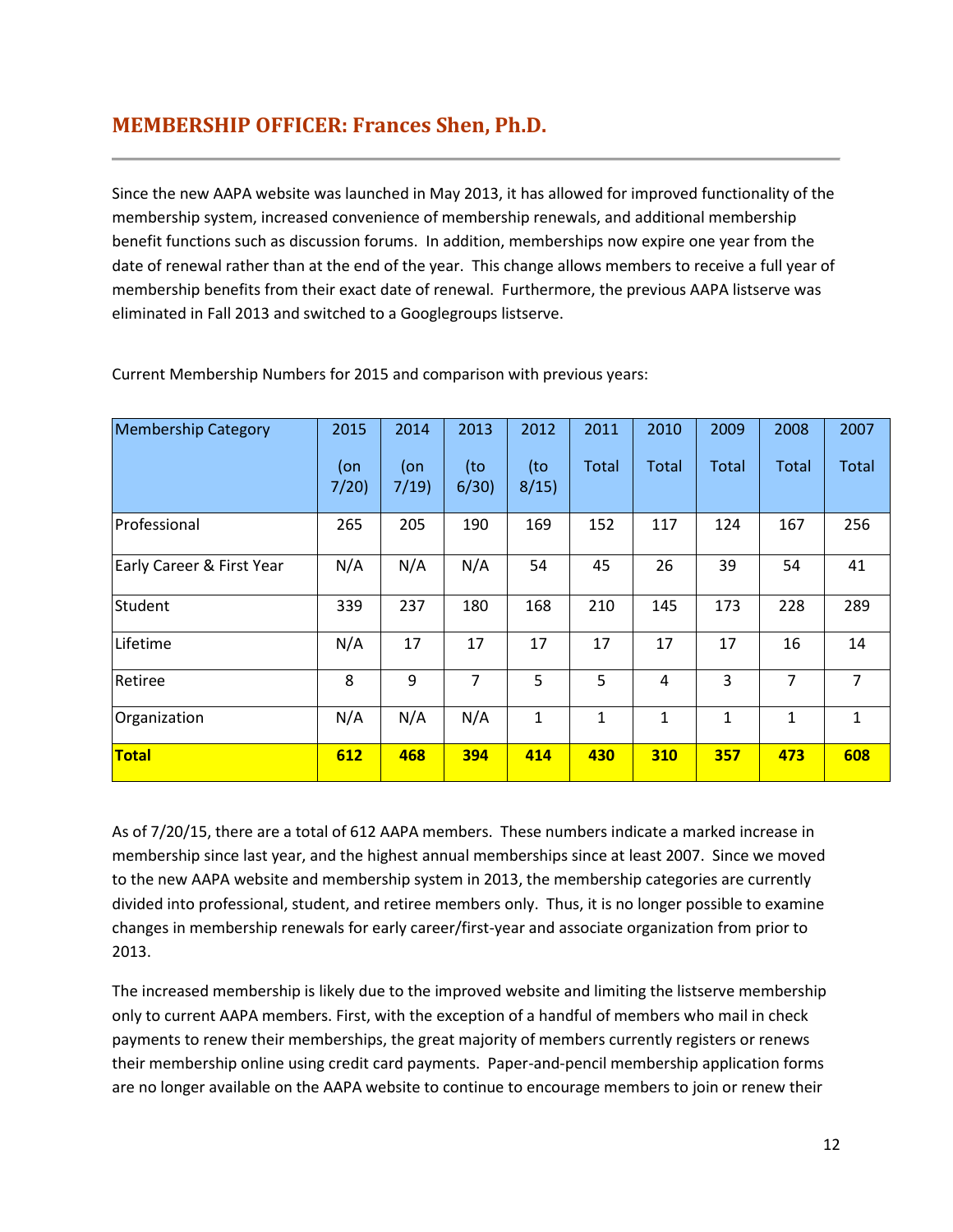## <span id="page-11-0"></span>**MEMBERSHIP OFFICER: Frances Shen, Ph.D.**

Since the new AAPA website was launched in May 2013, it has allowed for improved functionality of the membership system, increased convenience of membership renewals, and additional membership benefit functions such as discussion forums. In addition, memberships now expire one year from the date of renewal rather than at the end of the year. This change allows members to receive a full year of membership benefits from their exact date of renewal. Furthermore, the previous AAPA listserve was eliminated in Fall 2013 and switched to a Googlegroups listserve.

| <b>Membership Category</b> | 2015           | 2014           | 2013        | 2012        | 2011         | 2010         | 2009         | 2008         | 2007           |
|----------------------------|----------------|----------------|-------------|-------------|--------------|--------------|--------------|--------------|----------------|
|                            | $($ on<br>7/20 | $($ on<br>7/19 | (to<br>6/30 | (to<br>8/15 | <b>Total</b> | <b>Total</b> | Total        | <b>Total</b> | Total          |
| Professional               | 265            | 205            | 190         | 169         | 152          | 117          | 124          | 167          | 256            |
| Early Career & First Year  | N/A            | N/A            | N/A         | 54          | 45           | 26           | 39           | 54           | 41             |
| Student                    | 339            | 237            | 180         | 168         | 210          | 145          | 173          | 228          | 289            |
| Lifetime                   | N/A            | 17             | 17          | 17          | 17           | 17           | 17           | 16           | 14             |
| Retiree                    | 8              | 9              | 7           | 5           | 5            | 4            | 3            | 7            | $\overline{7}$ |
| Organization               | N/A            | N/A            | N/A         | 1           | 1            | 1            | $\mathbf{1}$ | $\mathbf{1}$ | $\mathbf{1}$   |
| <b>Total</b>               | 612            | 468            | 394         | 414         | 430          | <b>310</b>   | 357          | 473          | 608            |

Current Membership Numbers for 2015 and comparison with previous years:

As of 7/20/15, there are a total of 612 AAPA members. These numbers indicate a marked increase in membership since last year, and the highest annual memberships since at least 2007. Since we moved to the new AAPA website and membership system in 2013, the membership categories are currently divided into professional, student, and retiree members only. Thus, it is no longer possible to examine changes in membership renewals for early career/first-year and associate organization from prior to 2013.

The increased membership is likely due to the improved website and limiting the listserve membership only to current AAPA members. First, with the exception of a handful of members who mail in check payments to renew their memberships, the great majority of members currently registers or renews their membership online using credit card payments. Paper-and-pencil membership application forms are no longer available on the AAPA website to continue to encourage members to join or renew their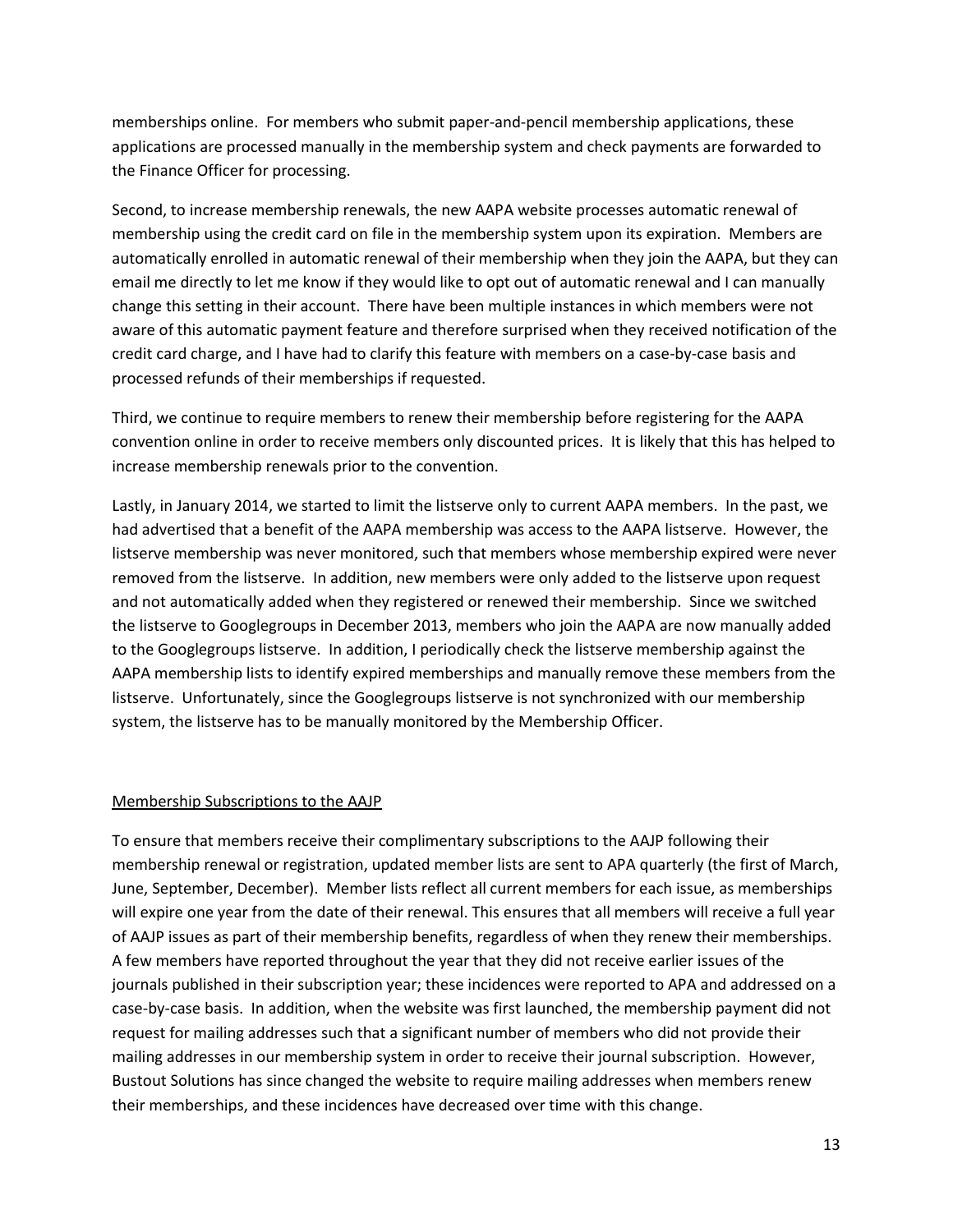memberships online. For members who submit paper-and-pencil membership applications, these applications are processed manually in the membership system and check payments are forwarded to the Finance Officer for processing.

Second, to increase membership renewals, the new AAPA website processes automatic renewal of membership using the credit card on file in the membership system upon its expiration. Members are automatically enrolled in automatic renewal of their membership when they join the AAPA, but they can email me directly to let me know if they would like to opt out of automatic renewal and I can manually change this setting in their account. There have been multiple instances in which members were not aware of this automatic payment feature and therefore surprised when they received notification of the credit card charge, and I have had to clarify this feature with members on a case-by-case basis and processed refunds of their memberships if requested.

Third, we continue to require members to renew their membership before registering for the AAPA convention online in order to receive members only discounted prices. It is likely that this has helped to increase membership renewals prior to the convention.

Lastly, in January 2014, we started to limit the listserve only to current AAPA members. In the past, we had advertised that a benefit of the AAPA membership was access to the AAPA listserve. However, the listserve membership was never monitored, such that members whose membership expired were never removed from the listserve. In addition, new members were only added to the listserve upon request and not automatically added when they registered or renewed their membership. Since we switched the listserve to Googlegroups in December 2013, members who join the AAPA are now manually added to the Googlegroups listserve. In addition, I periodically check the listserve membership against the AAPA membership lists to identify expired memberships and manually remove these members from the listserve. Unfortunately, since the Googlegroups listserve is not synchronized with our membership system, the listserve has to be manually monitored by the Membership Officer.

## Membership Subscriptions to the AAJP

To ensure that members receive their complimentary subscriptions to the AAJP following their membership renewal or registration, updated member lists are sent to APA quarterly (the first of March, June, September, December). Member lists reflect all current members for each issue, as memberships will expire one year from the date of their renewal. This ensures that all members will receive a full year of AAJP issues as part of their membership benefits, regardless of when they renew their memberships. A few members have reported throughout the year that they did not receive earlier issues of the journals published in their subscription year; these incidences were reported to APA and addressed on a case-by-case basis. In addition, when the website was first launched, the membership payment did not request for mailing addresses such that a significant number of members who did not provide their mailing addresses in our membership system in order to receive their journal subscription. However, Bustout Solutions has since changed the website to require mailing addresses when members renew their memberships, and these incidences have decreased over time with this change.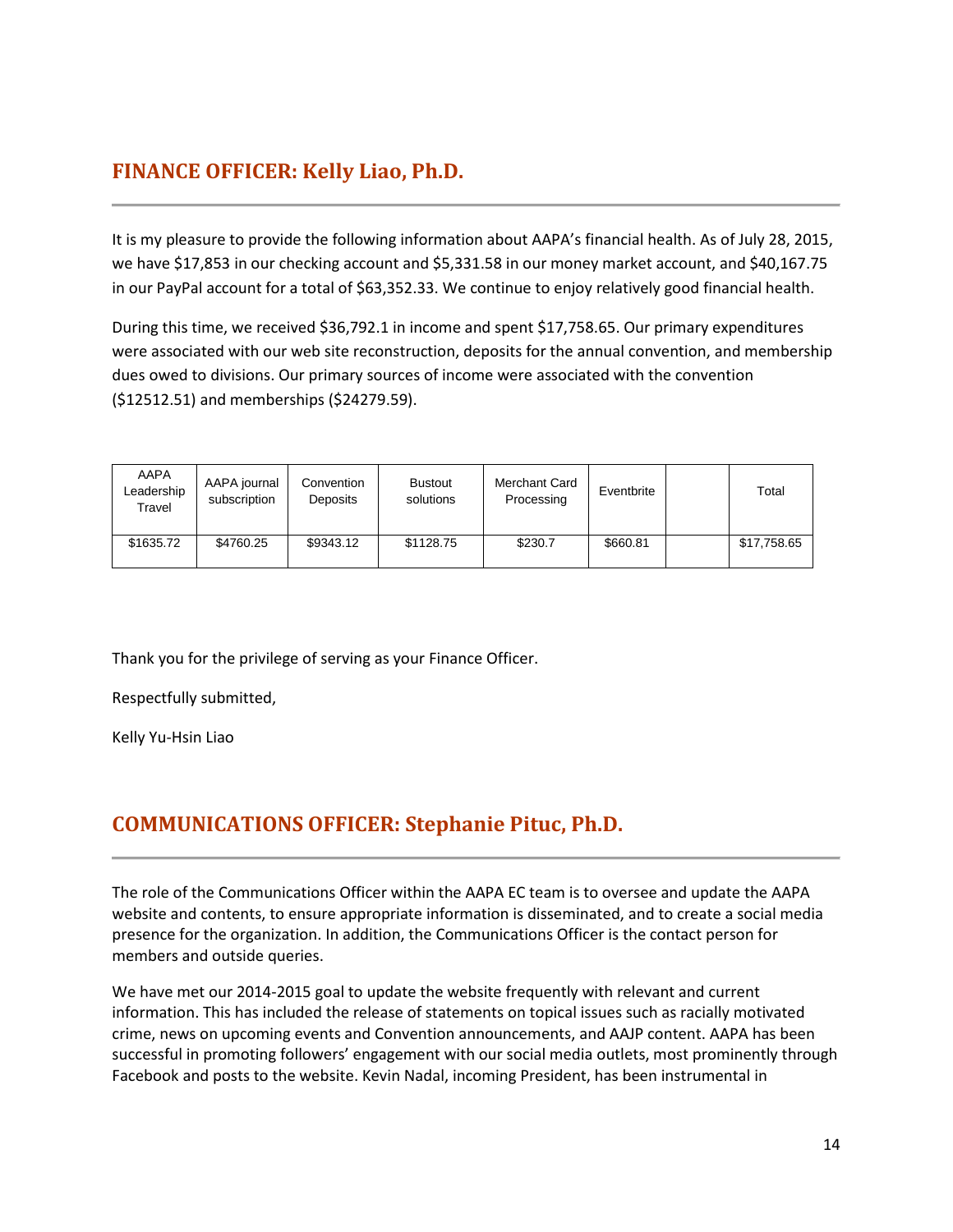## <span id="page-13-0"></span>**FINANCE OFFICER: Kelly Liao, Ph.D.**

It is my pleasure to provide the following information about AAPA's financial health. As of July 28, 2015, we have \$17,853 in our checking account and \$5,331.58 in our money market account, and \$40,167.75 in our PayPal account for a total of \$63,352.33. We continue to enjoy relatively good financial health.

During this time, we received \$36,792.1 in income and spent \$17,758.65. Our primary expenditures were associated with our web site reconstruction, deposits for the annual convention, and membership dues owed to divisions. Our primary sources of income were associated with the convention (\$12512.51) and memberships (\$24279.59).

| AAPA<br>Leadership<br>Travel | AAPA journal<br>subscription | Convention<br>Deposits | <b>Bustout</b><br>solutions | Merchant Card<br>Processing | Eventbrite | Total       |
|------------------------------|------------------------------|------------------------|-----------------------------|-----------------------------|------------|-------------|
| \$1635.72                    | \$4760.25                    | \$9343.12              | \$1128.75                   | \$230.7                     | \$660.81   | \$17,758.65 |

Thank you for the privilege of serving as your Finance Officer.

Respectfully submitted,

Kelly Yu-Hsin Liao

## <span id="page-13-1"></span>**COMMUNICATIONS OFFICER: Stephanie Pituc, Ph.D.**

The role of the Communications Officer within the AAPA EC team is to oversee and update the AAPA website and contents, to ensure appropriate information is disseminated, and to create a social media presence for the organization. In addition, the Communications Officer is the contact person for members and outside queries.

We have met our 2014-2015 goal to update the website frequently with relevant and current information. This has included the release of statements on topical issues such as racially motivated crime, news on upcoming events and Convention announcements, and AAJP content. AAPA has been successful in promoting followers' engagement with our social media outlets, most prominently through Facebook and posts to the website. Kevin Nadal, incoming President, has been instrumental in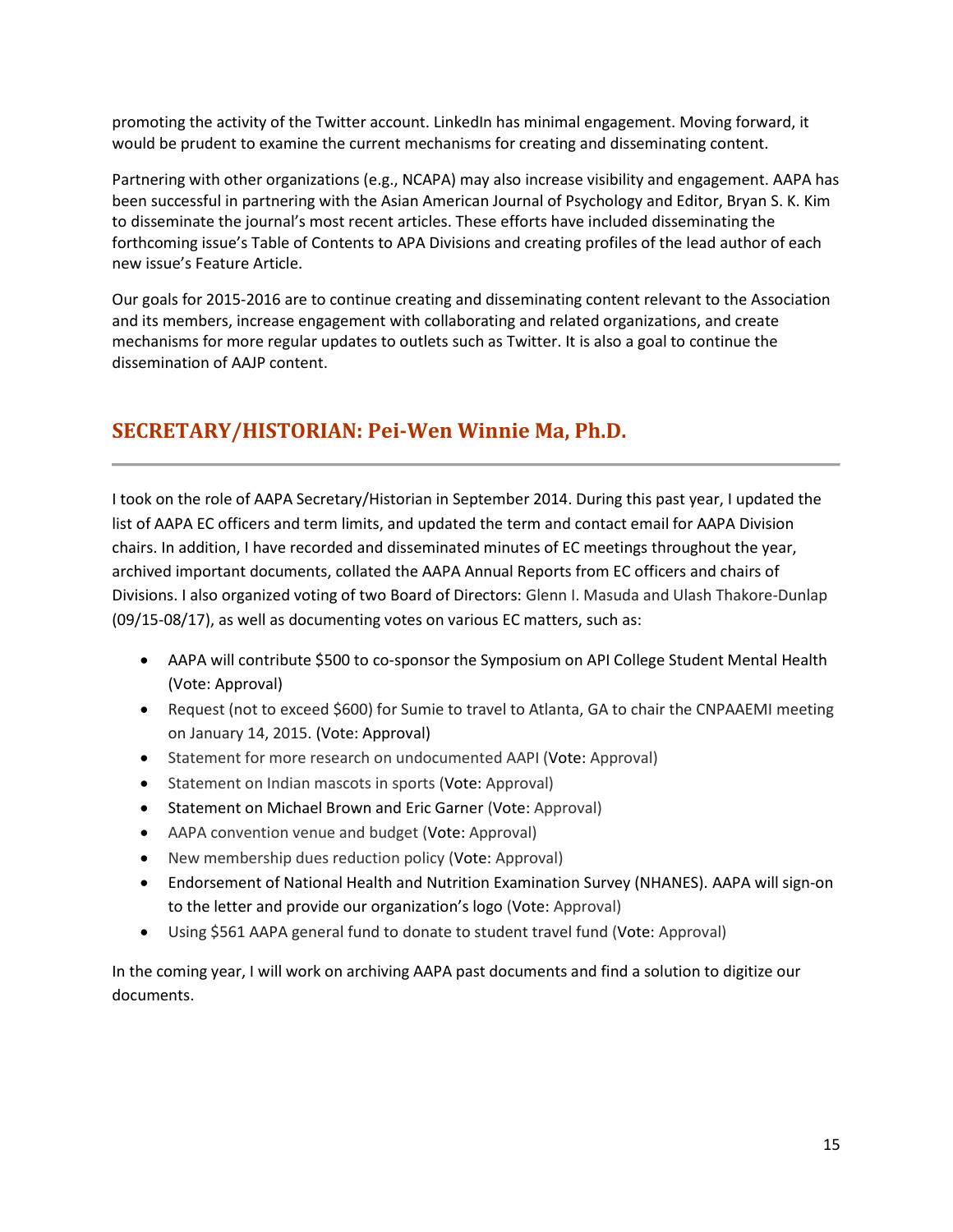promoting the activity of the Twitter account. LinkedIn has minimal engagement. Moving forward, it would be prudent to examine the current mechanisms for creating and disseminating content.

Partnering with other organizations (e.g., NCAPA) may also increase visibility and engagement. AAPA has been successful in partnering with the Asian American Journal of Psychology and Editor, Bryan S. K. Kim to disseminate the journal's most recent articles. These efforts have included disseminating the forthcoming issue's Table of Contents to APA Divisions and creating profiles of the lead author of each new issue's Feature Article.

Our goals for 2015-2016 are to continue creating and disseminating content relevant to the Association and its members, increase engagement with collaborating and related organizations, and create mechanisms for more regular updates to outlets such as Twitter. It is also a goal to continue the dissemination of AAJP content.

## <span id="page-14-0"></span>**SECRETARY/HISTORIAN: Pei-Wen Winnie Ma, Ph.D.**

I took on the role of AAPA Secretary/Historian in September 2014. During this past year, I updated the list of AAPA EC officers and term limits, and updated the term and contact email for AAPA Division chairs. In addition, I have recorded and disseminated minutes of EC meetings throughout the year, archived important documents, collated the AAPA Annual Reports from EC officers and chairs of Divisions. I also organized voting of two Board of Directors: Glenn I. Masuda and Ulash Thakore-Dunlap (09/15-08/17), as well as documenting votes on various EC matters, such as:

- AAPA will contribute \$500 to co-sponsor the Symposium on API College Student Mental Health (Vote: Approval)
- Request (not to exceed \$600) for Sumie to travel to Atlanta, GA to chair the CNPAAEMI meeting on January 14, 2015. (Vote: Approval)
- Statement for more research on undocumented AAPI (Vote: Approval)
- Statement on Indian mascots in sports (Vote: Approval)
- Statement on Michael Brown and Eric Garner (Vote: Approval)
- AAPA convention venue and budget (Vote: Approval)
- New membership dues reduction policy (Vote: Approval)
- Endorsement of National Health and Nutrition Examination Survey (NHANES). AAPA will sign-on to the letter and provide our organization's logo (Vote: Approval)
- Using \$561 AAPA general fund to donate to student travel fund (Vote: Approval)

In the coming year, I will work on archiving AAPA past documents and find a solution to digitize our documents.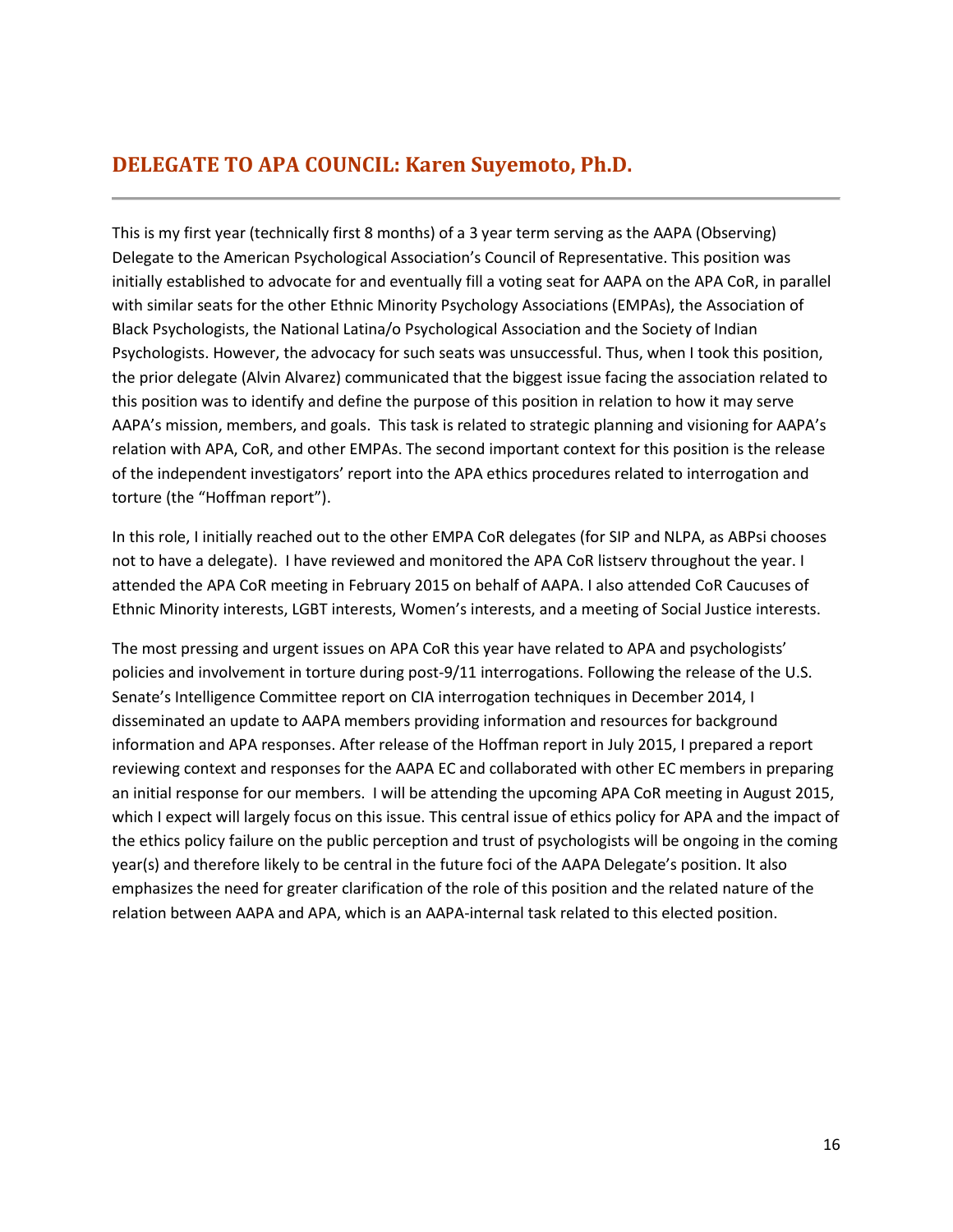## <span id="page-15-0"></span>**DELEGATE TO APA COUNCIL: Karen Suyemoto, Ph.D.**

This is my first year (technically first 8 months) of a 3 year term serving as the AAPA (Observing) Delegate to the American Psychological Association's Council of Representative. This position was initially established to advocate for and eventually fill a voting seat for AAPA on the APA CoR, in parallel with similar seats for the other Ethnic Minority Psychology Associations (EMPAs), the Association of Black Psychologists, the National Latina/o Psychological Association and the Society of Indian Psychologists. However, the advocacy for such seats was unsuccessful. Thus, when I took this position, the prior delegate (Alvin Alvarez) communicated that the biggest issue facing the association related to this position was to identify and define the purpose of this position in relation to how it may serve AAPA's mission, members, and goals. This task is related to strategic planning and visioning for AAPA's relation with APA, CoR, and other EMPAs. The second important context for this position is the release of the independent investigators' report into the APA ethics procedures related to interrogation and torture (the "Hoffman report").

In this role, I initially reached out to the other EMPA CoR delegates (for SIP and NLPA, as ABPsi chooses not to have a delegate). I have reviewed and monitored the APA CoR listserv throughout the year. I attended the APA CoR meeting in February 2015 on behalf of AAPA. I also attended CoR Caucuses of Ethnic Minority interests, LGBT interests, Women's interests, and a meeting of Social Justice interests.

The most pressing and urgent issues on APA CoR this year have related to APA and psychologists' policies and involvement in torture during post-9/11 interrogations. Following the release of the U.S. Senate's Intelligence Committee report on CIA interrogation techniques in December 2014, I disseminated an update to AAPA members providing information and resources for background information and APA responses. After release of the Hoffman report in July 2015, I prepared a report reviewing context and responses for the AAPA EC and collaborated with other EC members in preparing an initial response for our members. I will be attending the upcoming APA CoR meeting in August 2015, which I expect will largely focus on this issue. This central issue of ethics policy for APA and the impact of the ethics policy failure on the public perception and trust of psychologists will be ongoing in the coming year(s) and therefore likely to be central in the future foci of the AAPA Delegate's position. It also emphasizes the need for greater clarification of the role of this position and the related nature of the relation between AAPA and APA, which is an AAPA-internal task related to this elected position.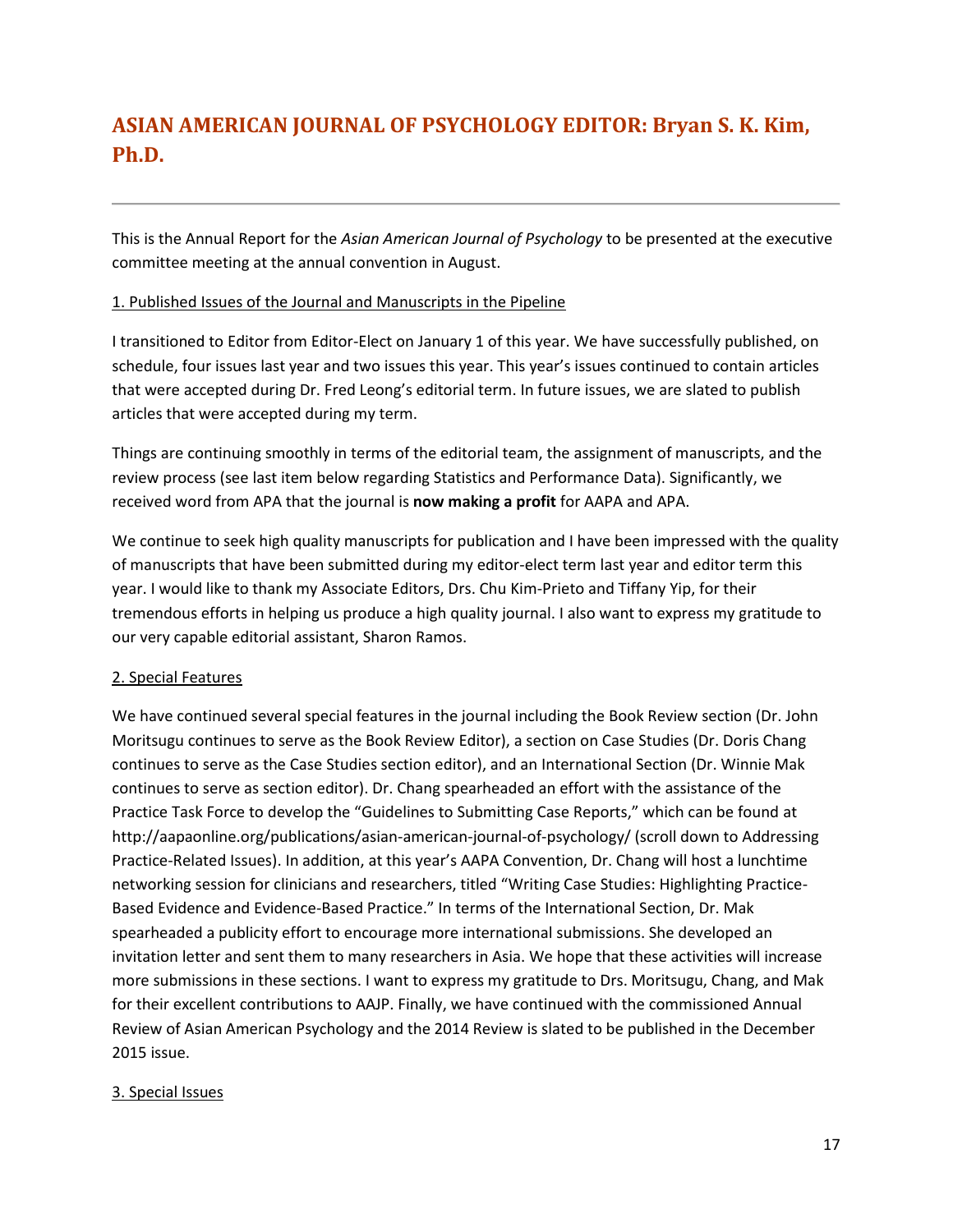## <span id="page-16-0"></span>**ASIAN AMERICAN JOURNAL OF PSYCHOLOGY EDITOR: Bryan S. K. Kim, Ph.D.**

This is the Annual Report for the *Asian American Journal of Psychology* to be presented at the executive committee meeting at the annual convention in August.

## 1. Published Issues of the Journal and Manuscripts in the Pipeline

I transitioned to Editor from Editor-Elect on January 1 of this year. We have successfully published, on schedule, four issues last year and two issues this year. This year's issues continued to contain articles that were accepted during Dr. Fred Leong's editorial term. In future issues, we are slated to publish articles that were accepted during my term.

Things are continuing smoothly in terms of the editorial team, the assignment of manuscripts, and the review process (see last item below regarding Statistics and Performance Data). Significantly, we received word from APA that the journal is **now making a profit** for AAPA and APA.

We continue to seek high quality manuscripts for publication and I have been impressed with the quality of manuscripts that have been submitted during my editor-elect term last year and editor term this year. I would like to thank my Associate Editors, Drs. Chu Kim-Prieto and Tiffany Yip, for their tremendous efforts in helping us produce a high quality journal. I also want to express my gratitude to our very capable editorial assistant, Sharon Ramos.

## 2. Special Features

We have continued several special features in the journal including the Book Review section (Dr. John Moritsugu continues to serve as the Book Review Editor), a section on Case Studies (Dr. Doris Chang continues to serve as the Case Studies section editor), and an International Section (Dr. Winnie Mak continues to serve as section editor). Dr. Chang spearheaded an effort with the assistance of the Practice Task Force to develop the "Guidelines to Submitting Case Reports," which can be found at http://aapaonline.org/publications/asian-american-journal-of-psychology/ (scroll down to Addressing Practice-Related Issues). In addition, at this year's AAPA Convention, Dr. Chang will host a lunchtime networking session for clinicians and researchers, titled "Writing Case Studies: Highlighting Practice-Based Evidence and Evidence-Based Practice." In terms of the International Section, Dr. Mak spearheaded a publicity effort to encourage more international submissions. She developed an invitation letter and sent them to many researchers in Asia. We hope that these activities will increase more submissions in these sections. I want to express my gratitude to Drs. Moritsugu, Chang, and Mak for their excellent contributions to AAJP. Finally, we have continued with the commissioned Annual Review of Asian American Psychology and the 2014 Review is slated to be published in the December 2015 issue.

## 3. Special Issues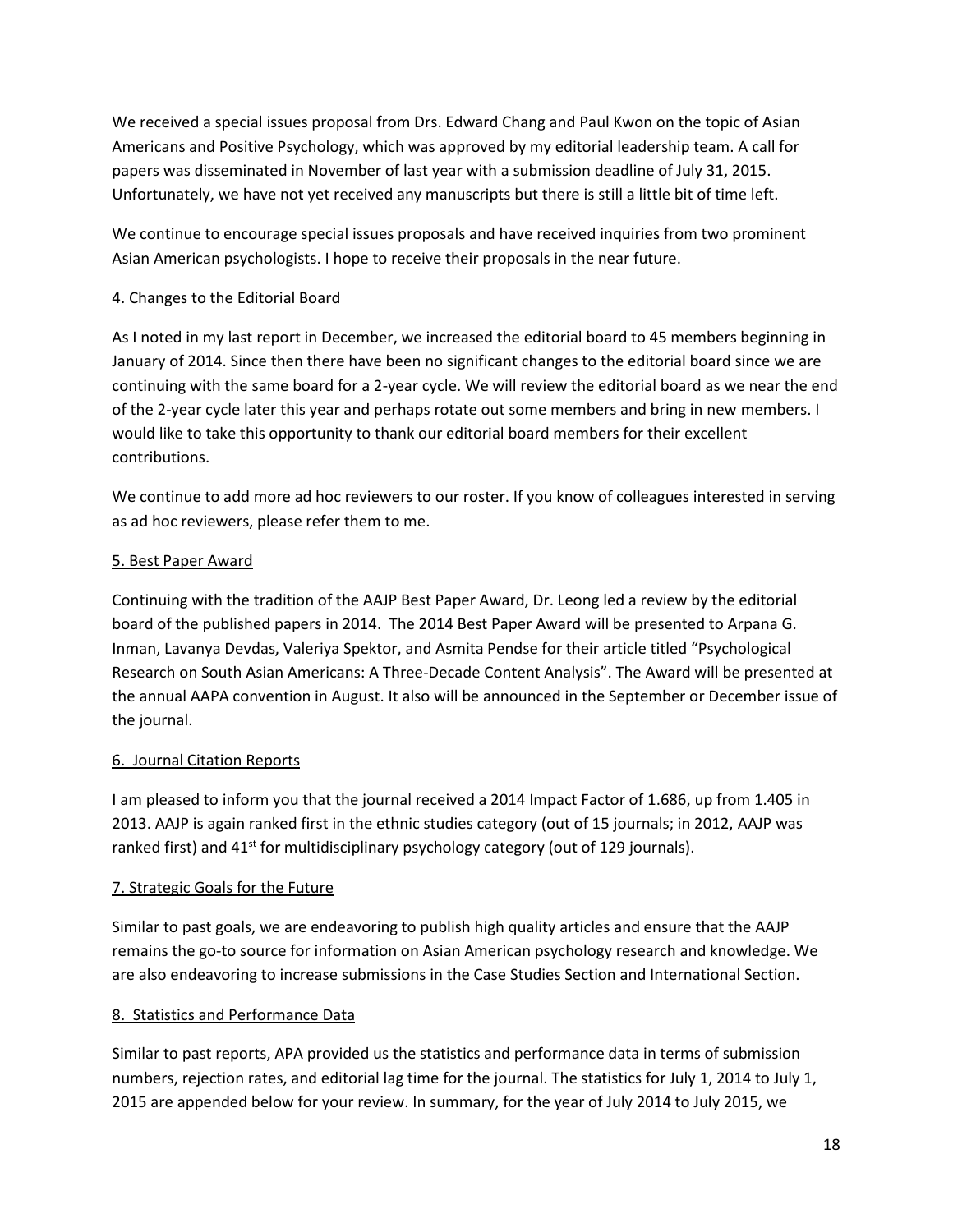We received a special issues proposal from Drs. Edward Chang and Paul Kwon on the topic of Asian Americans and Positive Psychology, which was approved by my editorial leadership team. A call for papers was disseminated in November of last year with a submission deadline of July 31, 2015. Unfortunately, we have not yet received any manuscripts but there is still a little bit of time left.

We continue to encourage special issues proposals and have received inquiries from two prominent Asian American psychologists. I hope to receive their proposals in the near future.

## 4. Changes to the Editorial Board

As I noted in my last report in December, we increased the editorial board to 45 members beginning in January of 2014. Since then there have been no significant changes to the editorial board since we are continuing with the same board for a 2-year cycle. We will review the editorial board as we near the end of the 2-year cycle later this year and perhaps rotate out some members and bring in new members. I would like to take this opportunity to thank our editorial board members for their excellent contributions.

We continue to add more ad hoc reviewers to our roster. If you know of colleagues interested in serving as ad hoc reviewers, please refer them to me.

## 5. Best Paper Award

Continuing with the tradition of the AAJP Best Paper Award, Dr. Leong led a review by the editorial board of the published papers in 2014. The 2014 Best Paper Award will be presented to Arpana G. Inman, Lavanya Devdas, Valeriya Spektor, and Asmita Pendse for their article titled "Psychological Research on South Asian Americans: A Three-Decade Content Analysis". The Award will be presented at the annual AAPA convention in August. It also will be announced in the September or December issue of the journal.

## 6. Journal Citation Reports

I am pleased to inform you that the journal received a 2014 Impact Factor of 1.686, up from 1.405 in 2013. AAJP is again ranked first in the ethnic studies category (out of 15 journals; in 2012, AAJP was ranked first) and  $41<sup>st</sup>$  for multidisciplinary psychology category (out of 129 journals).

## 7. Strategic Goals for the Future

Similar to past goals, we are endeavoring to publish high quality articles and ensure that the AAJP remains the go-to source for information on Asian American psychology research and knowledge. We are also endeavoring to increase submissions in the Case Studies Section and International Section.

## 8. Statistics and Performance Data

Similar to past reports, APA provided us the statistics and performance data in terms of submission numbers, rejection rates, and editorial lag time for the journal. The statistics for July 1, 2014 to July 1, 2015 are appended below for your review. In summary, for the year of July 2014 to July 2015, we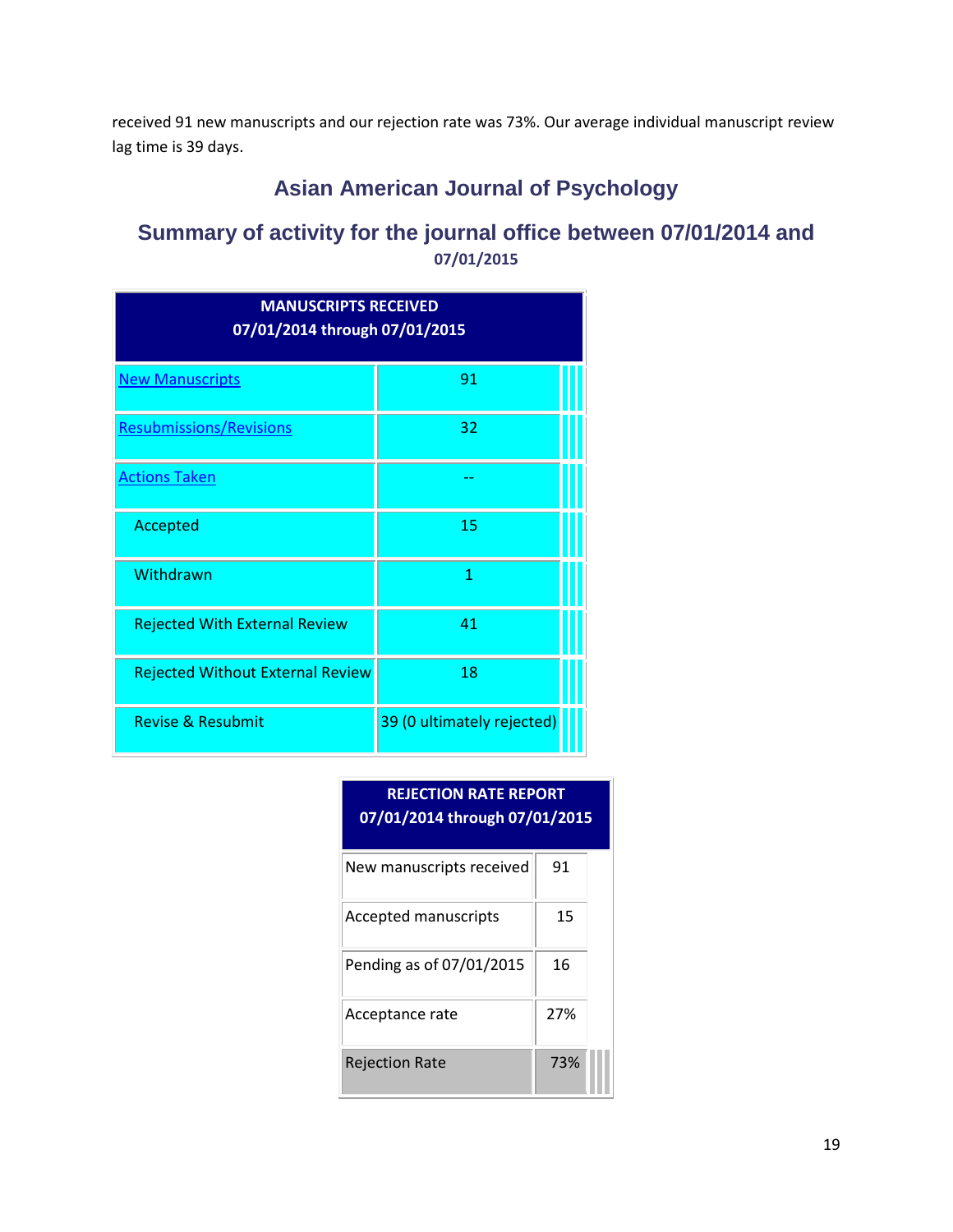received 91 new manuscripts and our rejection rate was 73%. Our average individual manuscript review lag time is 39 days.

## **Asian American Journal of Psychology**

## **Summary of activity for the journal office between 07/01/2014 and 07/01/2015**

| <b>MANUSCRIPTS RECEIVED</b><br>07/01/2014 through 07/01/2015 |                            |  |  |
|--------------------------------------------------------------|----------------------------|--|--|
| <b>New Manuscripts</b>                                       | 91                         |  |  |
| <b>Resubmissions/Revisions</b>                               | 32                         |  |  |
| <b>Actions Taken</b>                                         |                            |  |  |
| Accepted                                                     | 15                         |  |  |
| Withdrawn                                                    | 1                          |  |  |
| <b>Rejected With External Review</b>                         | 41                         |  |  |
| <b>Rejected Without External Review</b>                      | 18                         |  |  |
| Revise & Resubmit                                            | 39 (0 ultimately rejected) |  |  |

| <b>REJECTION RATE REPORT</b><br>07/01/2014 through 07/01/2015 |     |  |  |
|---------------------------------------------------------------|-----|--|--|
| New manuscripts received                                      | 91  |  |  |
| <b>Accepted manuscripts</b>                                   | 15  |  |  |
| Pending as of 07/01/2015                                      | 16  |  |  |
| Acceptance rate                                               | 27% |  |  |
| <b>Rejection Rate</b>                                         | 73% |  |  |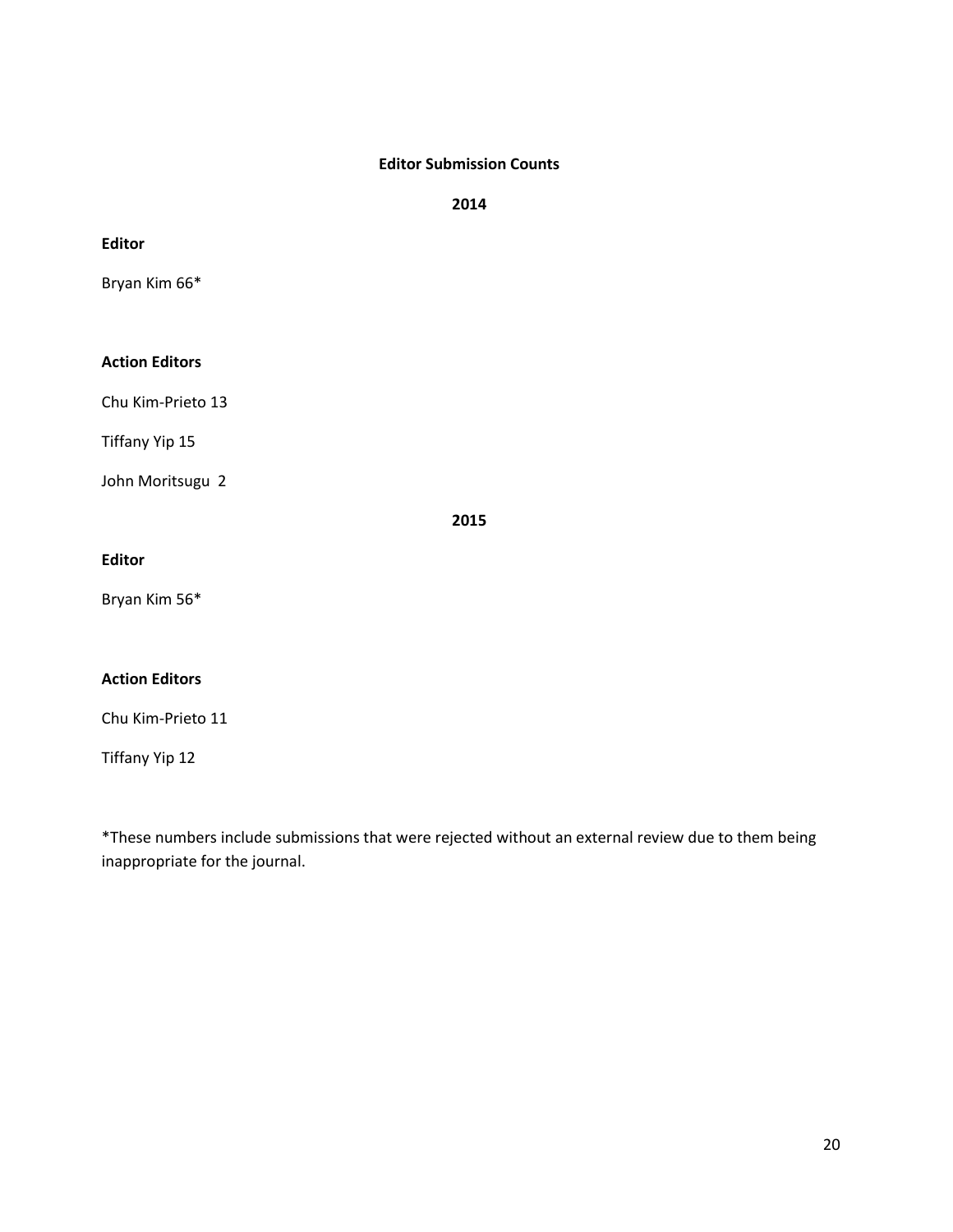## **Editor Submission Counts**

**2014**

**Editor**

Bryan Kim 66\*

## **Action Editors**

Chu Kim-Prieto 13

Tiffany Yip 15

John Moritsugu 2

**2015**

## **Editor**

Bryan Kim 56\*

## **Action Editors**

Chu Kim-Prieto 11

Tiffany Yip 12

\*These numbers include submissions that were rejected without an external review due to them being inappropriate for the journal.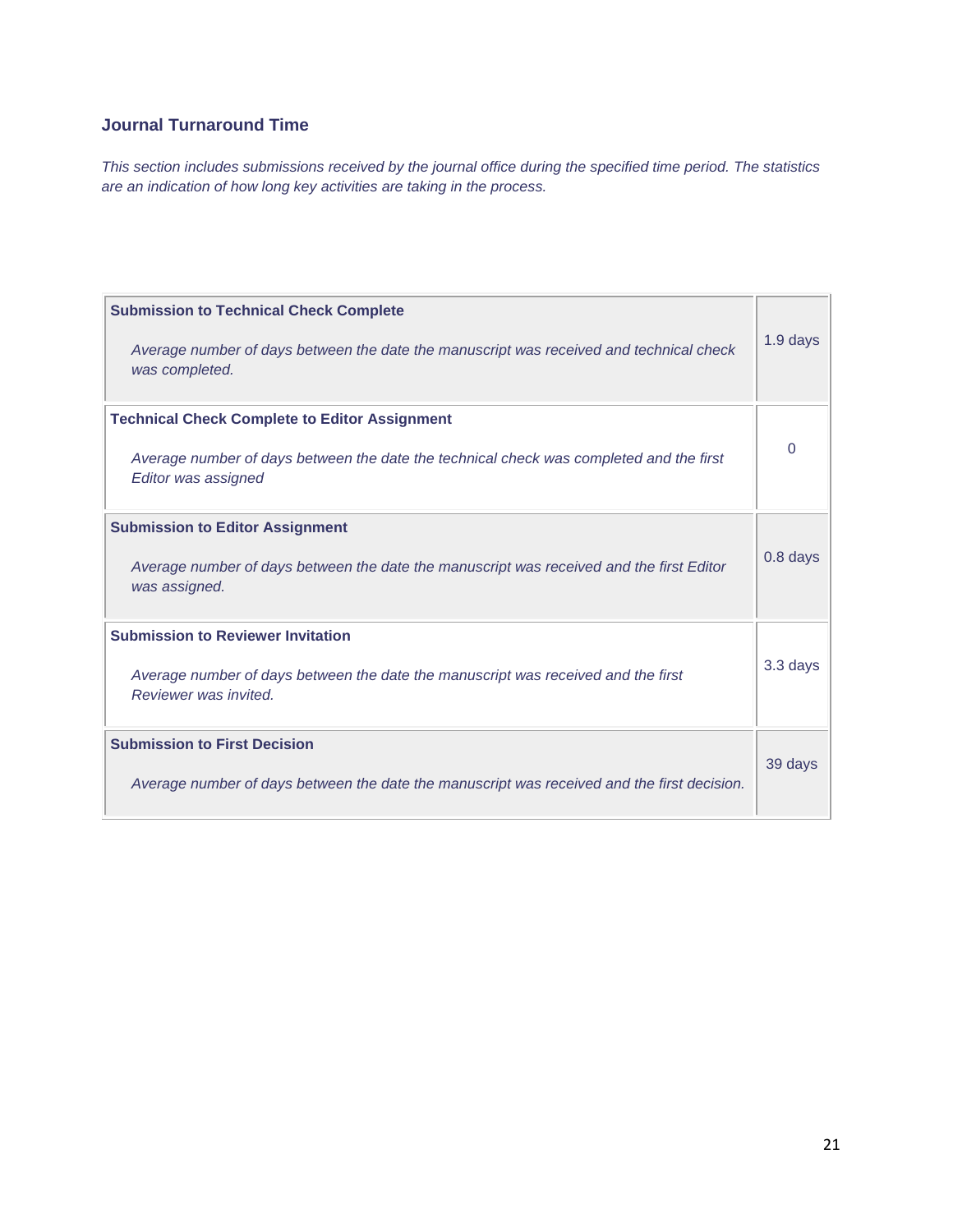## **Journal Turnaround Time**

*This section includes submissions received by the journal office during the specified time period. The statistics are an indication of how long key activities are taking in the process.*

| <b>Submission to Technical Check Complete</b><br>Average number of days between the date the manuscript was received and technical check<br>was completed.             | 1.9 days |
|------------------------------------------------------------------------------------------------------------------------------------------------------------------------|----------|
| <b>Technical Check Complete to Editor Assignment</b><br>Average number of days between the date the technical check was completed and the first<br>Editor was assigned | 0        |
| <b>Submission to Editor Assignment</b><br>Average number of days between the date the manuscript was received and the first Editor<br>was assigned.                    | 0.8 days |
| <b>Submission to Reviewer Invitation</b><br>Average number of days between the date the manuscript was received and the first<br>Reviewer was invited.                 | 3.3 days |
| <b>Submission to First Decision</b><br>Average number of days between the date the manuscript was received and the first decision.                                     | 39 days  |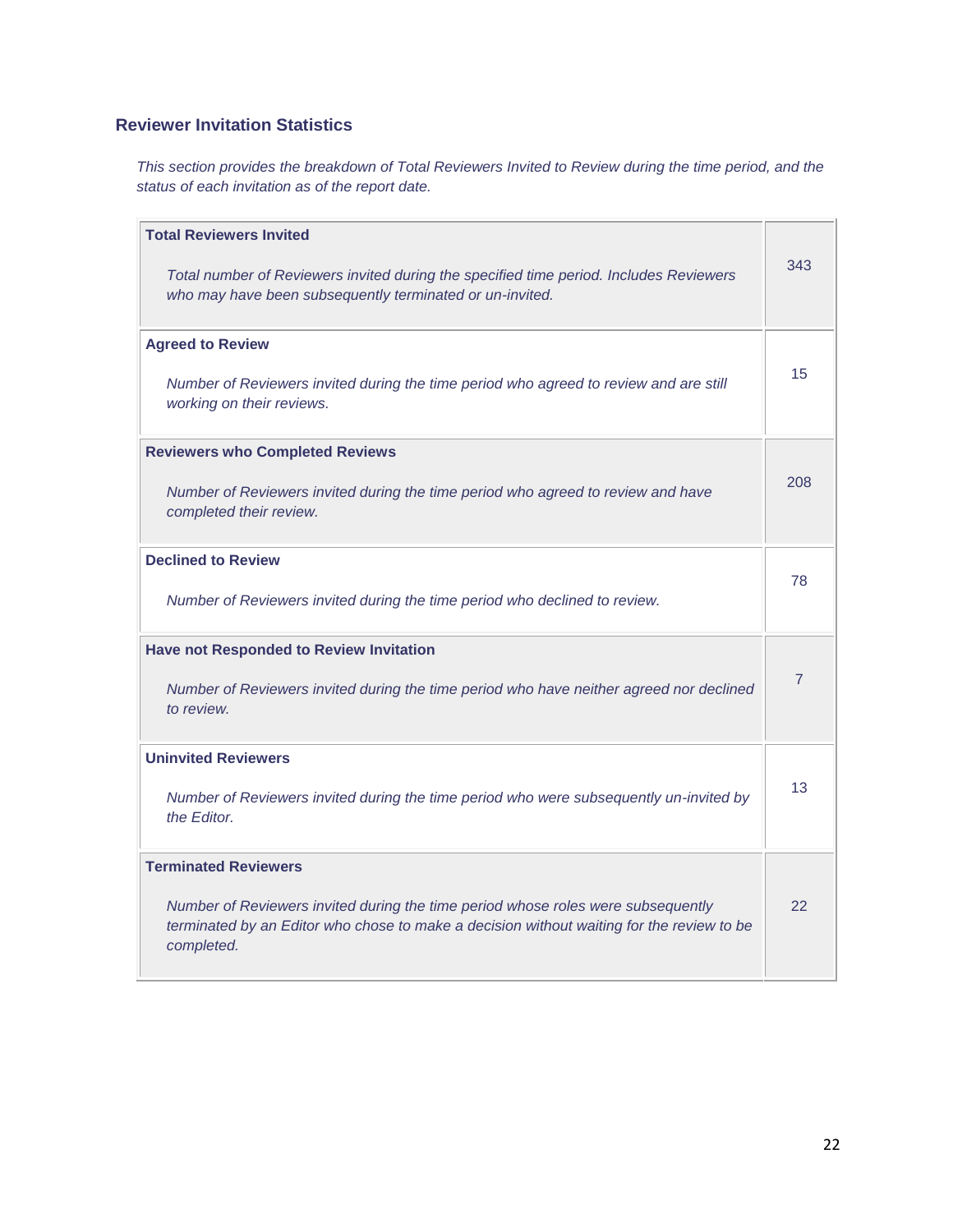## **Reviewer Invitation Statistics**

*This section provides the breakdown of Total Reviewers Invited to Review during the time period, and the status of each invitation as of the report date.*

| <b>Total Reviewers Invited</b><br>Total number of Reviewers invited during the specified time period. Includes Reviewers<br>who may have been subsequently terminated or un-invited.                                       | 343 |
|----------------------------------------------------------------------------------------------------------------------------------------------------------------------------------------------------------------------------|-----|
| <b>Agreed to Review</b><br>Number of Reviewers invited during the time period who agreed to review and are still<br>working on their reviews.                                                                              | 15  |
| <b>Reviewers who Completed Reviews</b><br>Number of Reviewers invited during the time period who agreed to review and have<br>completed their review.                                                                      | 208 |
| <b>Declined to Review</b><br>Number of Reviewers invited during the time period who declined to review.                                                                                                                    | 78  |
| <b>Have not Responded to Review Invitation</b><br>Number of Reviewers invited during the time period who have neither agreed nor declined<br>to review.                                                                    | 7   |
| <b>Uninvited Reviewers</b><br>Number of Reviewers invited during the time period who were subsequently un-invited by<br>the Editor.                                                                                        | 13  |
| <b>Terminated Reviewers</b><br>Number of Reviewers invited during the time period whose roles were subsequently<br>terminated by an Editor who chose to make a decision without waiting for the review to be<br>completed. | 22  |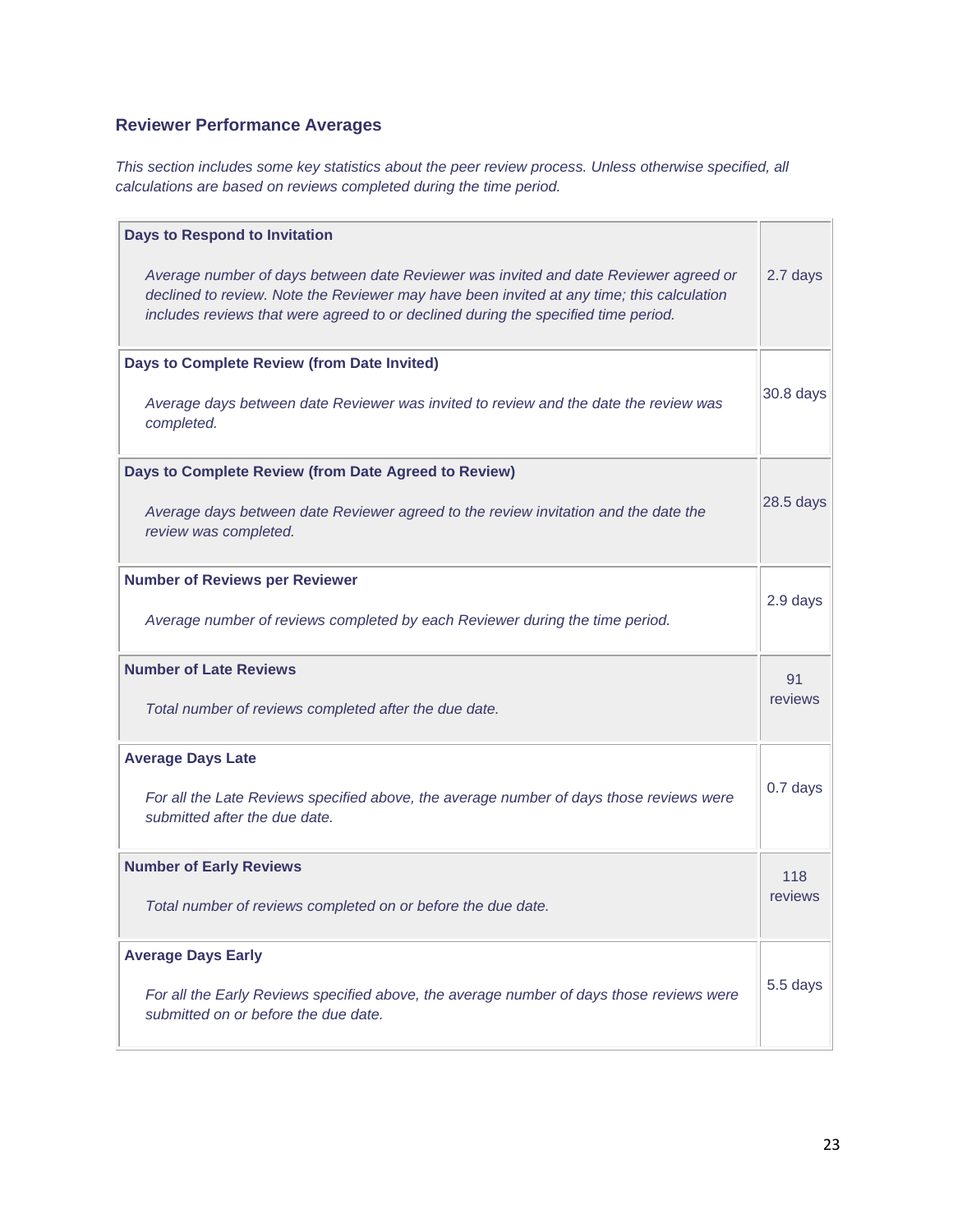## **Reviewer Performance Averages**

*This section includes some key statistics about the peer review process. Unless otherwise specified, all calculations are based on reviews completed during the time period.*

| <b>Days to Respond to Invitation</b>                                                                                                                                                                                                                                    |           |
|-------------------------------------------------------------------------------------------------------------------------------------------------------------------------------------------------------------------------------------------------------------------------|-----------|
| Average number of days between date Reviewer was invited and date Reviewer agreed or<br>declined to review. Note the Reviewer may have been invited at any time; this calculation<br>includes reviews that were agreed to or declined during the specified time period. | 2.7 days  |
| Days to Complete Review (from Date Invited)                                                                                                                                                                                                                             |           |
| Average days between date Reviewer was invited to review and the date the review was<br>completed.                                                                                                                                                                      | 30.8 days |
| Days to Complete Review (from Date Agreed to Review)                                                                                                                                                                                                                    |           |
| Average days between date Reviewer agreed to the review invitation and the date the<br>review was completed.                                                                                                                                                            | 28.5 days |
| <b>Number of Reviews per Reviewer</b>                                                                                                                                                                                                                                   |           |
| Average number of reviews completed by each Reviewer during the time period.                                                                                                                                                                                            | 2.9 days  |
| <b>Number of Late Reviews</b>                                                                                                                                                                                                                                           | 91        |
| Total number of reviews completed after the due date.                                                                                                                                                                                                                   | reviews   |
| <b>Average Days Late</b>                                                                                                                                                                                                                                                |           |
| For all the Late Reviews specified above, the average number of days those reviews were<br>submitted after the due date.                                                                                                                                                | 0.7 days  |
| <b>Number of Early Reviews</b>                                                                                                                                                                                                                                          | 118       |
| Total number of reviews completed on or before the due date.                                                                                                                                                                                                            | reviews   |
| <b>Average Days Early</b>                                                                                                                                                                                                                                               |           |
| For all the Early Reviews specified above, the average number of days those reviews were<br>submitted on or before the due date.                                                                                                                                        | 5.5 days  |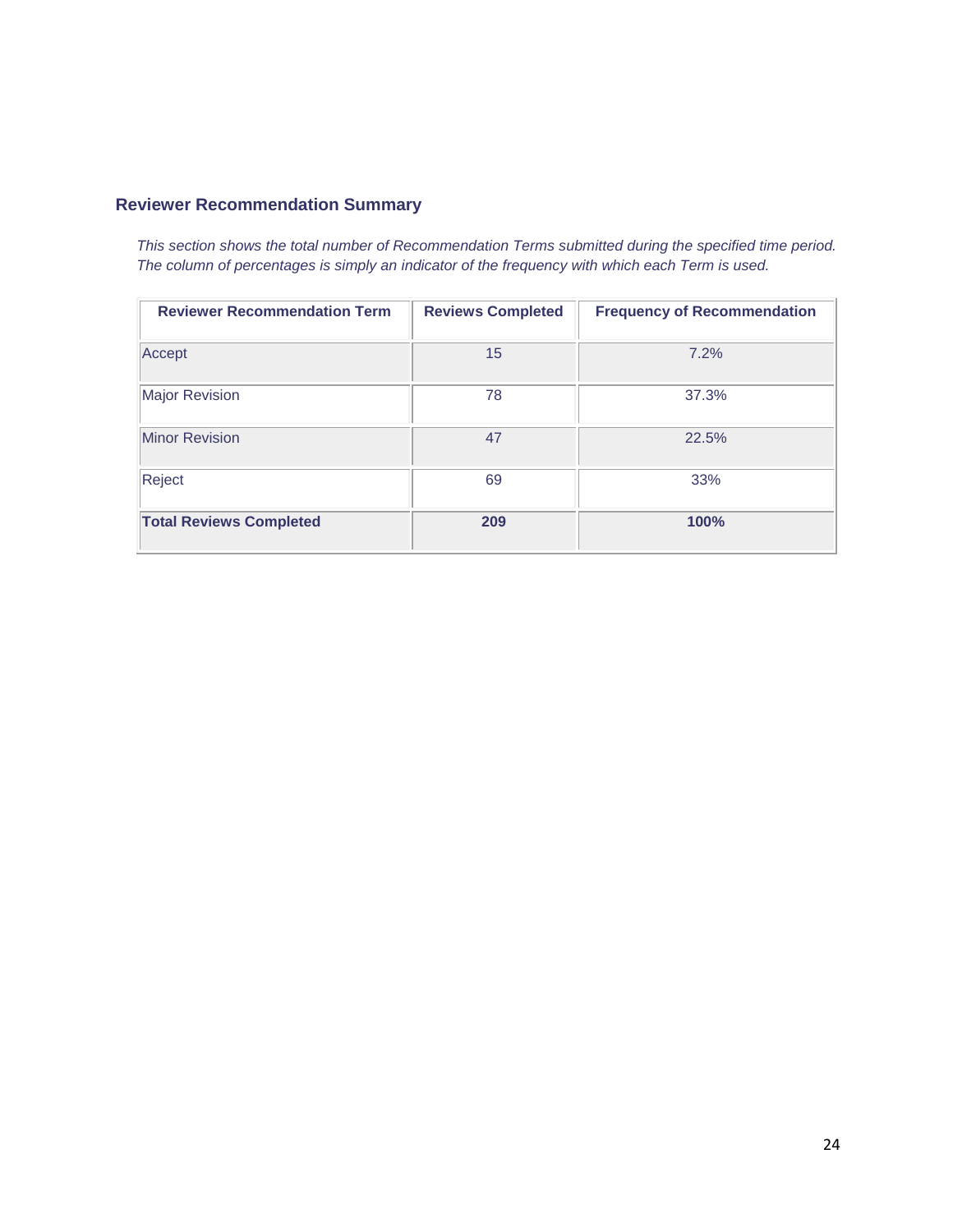## **Reviewer Recommendation Summary**

*This section shows the total number of Recommendation Terms submitted during the specified time period. The column of percentages is simply an indicator of the frequency with which each Term is used.*

| <b>Reviewer Recommendation Term</b> | <b>Reviews Completed</b> | <b>Frequency of Recommendation</b> |
|-------------------------------------|--------------------------|------------------------------------|
| Accept                              | 15                       | 7.2%                               |
| <b>Major Revision</b>               | 78                       | 37.3%                              |
| <b>Minor Revision</b>               | 47                       | 22.5%                              |
| Reject                              | 69                       | 33%                                |
| <b>Total Reviews Completed</b>      | 209                      | 100%                               |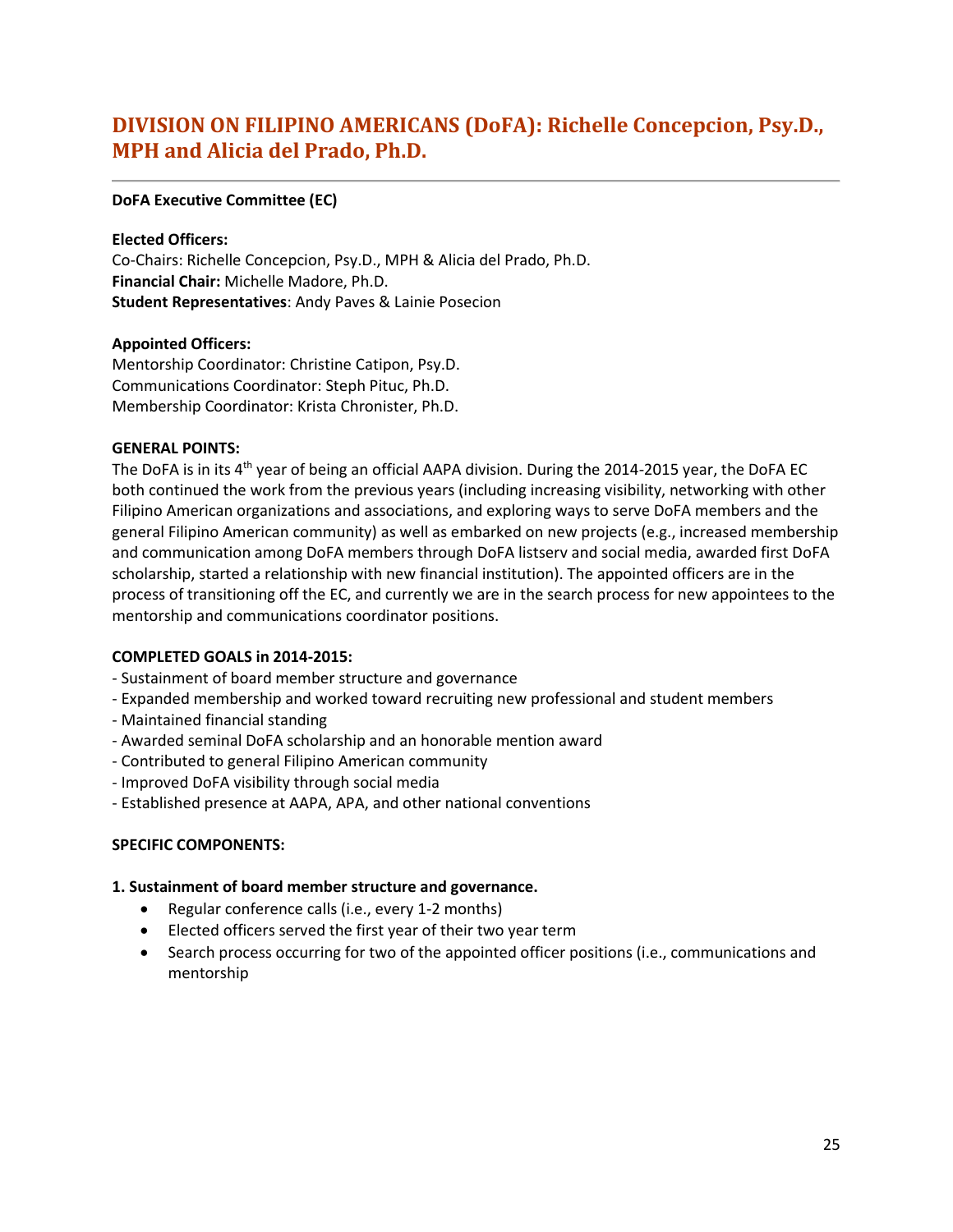## <span id="page-24-0"></span>**DIVISION ON FILIPINO AMERICANS (DoFA): Richelle Concepcion, Psy.D., MPH and Alicia del Prado, Ph.D.**

### **DoFA Executive Committee (EC)**

## **Elected Officers:**

Co-Chairs: Richelle Concepcion, Psy.D., MPH & Alicia del Prado, Ph.D. **Financial Chair:** Michelle Madore, Ph.D. **Student Representatives**: Andy Paves & Lainie Posecion

## **Appointed Officers:**

Mentorship Coordinator: Christine Catipon, Psy.D. Communications Coordinator: Steph Pituc, Ph.D. Membership Coordinator: Krista Chronister, Ph.D.

## **GENERAL POINTS:**

The DoFA is in its 4<sup>th</sup> year of being an official AAPA division. During the 2014-2015 year, the DoFA EC both continued the work from the previous years (including increasing visibility, networking with other Filipino American organizations and associations, and exploring ways to serve DoFA members and the general Filipino American community) as well as embarked on new projects (e.g., increased membership and communication among DoFA members through DoFA listserv and social media, awarded first DoFA scholarship, started a relationship with new financial institution). The appointed officers are in the process of transitioning off the EC, and currently we are in the search process for new appointees to the mentorship and communications coordinator positions.

## **COMPLETED GOALS in 2014-2015:**

- Sustainment of board member structure and governance
- Expanded membership and worked toward recruiting new professional and student members
- Maintained financial standing
- Awarded seminal DoFA scholarship and an honorable mention award
- Contributed to general Filipino American community
- Improved DoFA visibility through social media
- Established presence at AAPA, APA, and other national conventions

## **SPECIFIC COMPONENTS:**

## **1. Sustainment of board member structure and governance.**

- Regular conference calls (i.e., every 1-2 months)
- Elected officers served the first year of their two year term
- Search process occurring for two of the appointed officer positions (i.e., communications and mentorship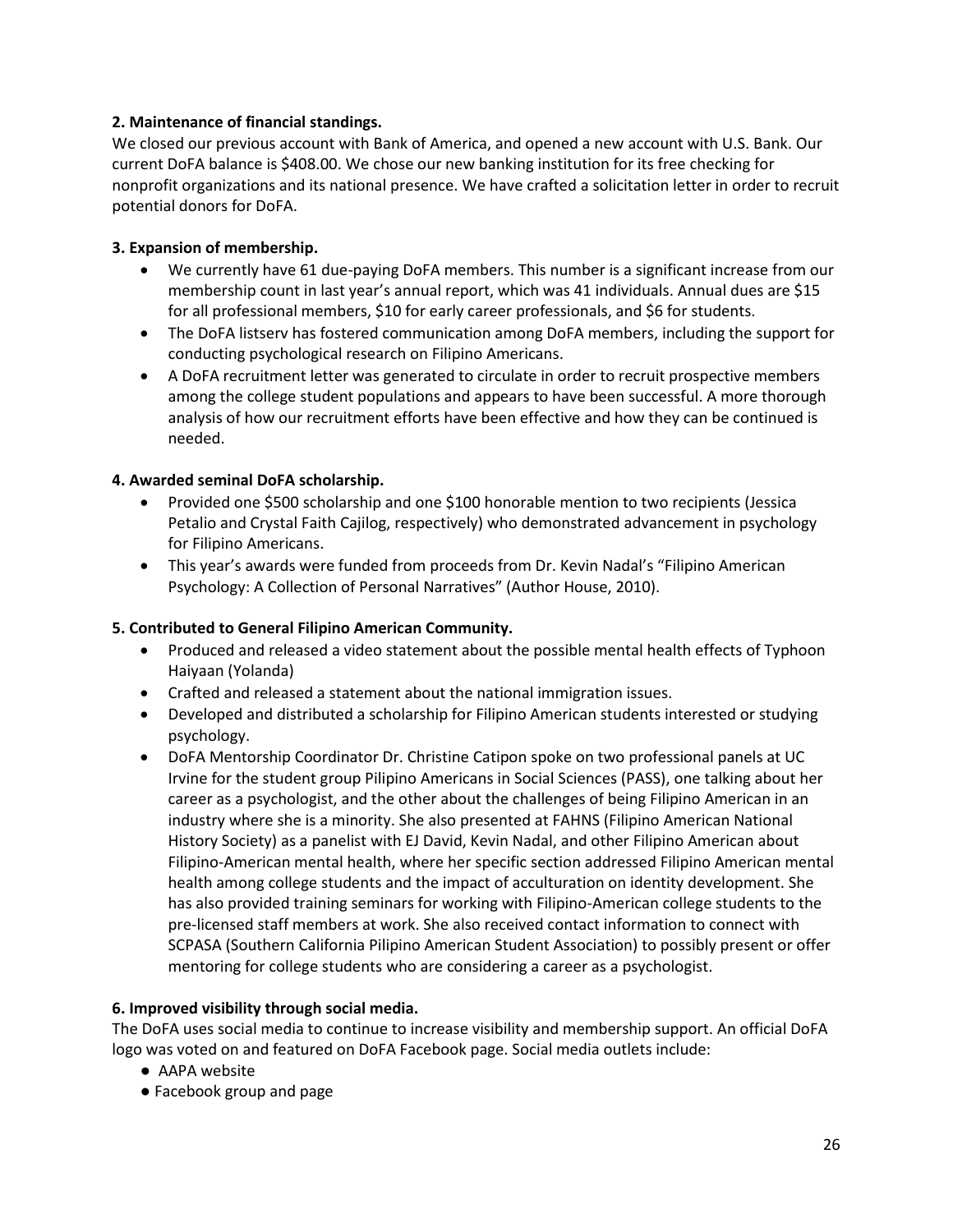## **2. Maintenance of financial standings.**

We closed our previous account with Bank of America, and opened a new account with U.S. Bank. Our current DoFA balance is \$408.00. We chose our new banking institution for its free checking for nonprofit organizations and its national presence. We have crafted a solicitation letter in order to recruit potential donors for DoFA.

## **3. Expansion of membership.**

- We currently have 61 due-paying DoFA members. This number is a significant increase from our membership count in last year's annual report, which was 41 individuals. Annual dues are \$15 for all professional members, \$10 for early career professionals, and \$6 for students.
- The DoFA listserv has fostered communication among DoFA members, including the support for conducting psychological research on Filipino Americans.
- A DoFA recruitment letter was generated to circulate in order to recruit prospective members among the college student populations and appears to have been successful. A more thorough analysis of how our recruitment efforts have been effective and how they can be continued is needed.

## **4. Awarded seminal DoFA scholarship.**

- Provided one \$500 scholarship and one \$100 honorable mention to two recipients (Jessica Petalio and Crystal Faith Cajilog, respectively) who demonstrated advancement in psychology for Filipino Americans.
- This year's awards were funded from proceeds from Dr. Kevin Nadal's "Filipino American Psychology: A Collection of Personal Narratives" (Author House, 2010).

## **5. Contributed to General Filipino American Community.**

- Produced and released a video statement about the possible mental health effects of Typhoon Haiyaan (Yolanda)
- Crafted and released a statement about the national immigration issues.
- Developed and distributed a scholarship for Filipino American students interested or studying psychology.
- DoFA Mentorship Coordinator Dr. Christine Catipon spoke on two professional panels at UC Irvine for the student group Pilipino Americans in Social Sciences (PASS), one talking about her career as a psychologist, and the other about the challenges of being Filipino American in an industry where she is a minority. She also presented at FAHNS (Filipino American National History Society) as a panelist with EJ David, Kevin Nadal, and other Filipino American about Filipino-American mental health, where her specific section addressed Filipino American mental health among college students and the impact of acculturation on identity development. She has also provided training seminars for working with Filipino-American college students to the pre-licensed staff members at work. She also received contact information to connect with SCPASA (Southern California Pilipino American Student Association) to possibly present or offer mentoring for college students who are considering a career as a psychologist.

## **6. Improved visibility through social media.**

The DoFA uses social media to continue to increase visibility and membership support. An official DoFA logo was voted on and featured on DoFA Facebook page. Social media outlets include:

- AAPA website
- Facebook group and page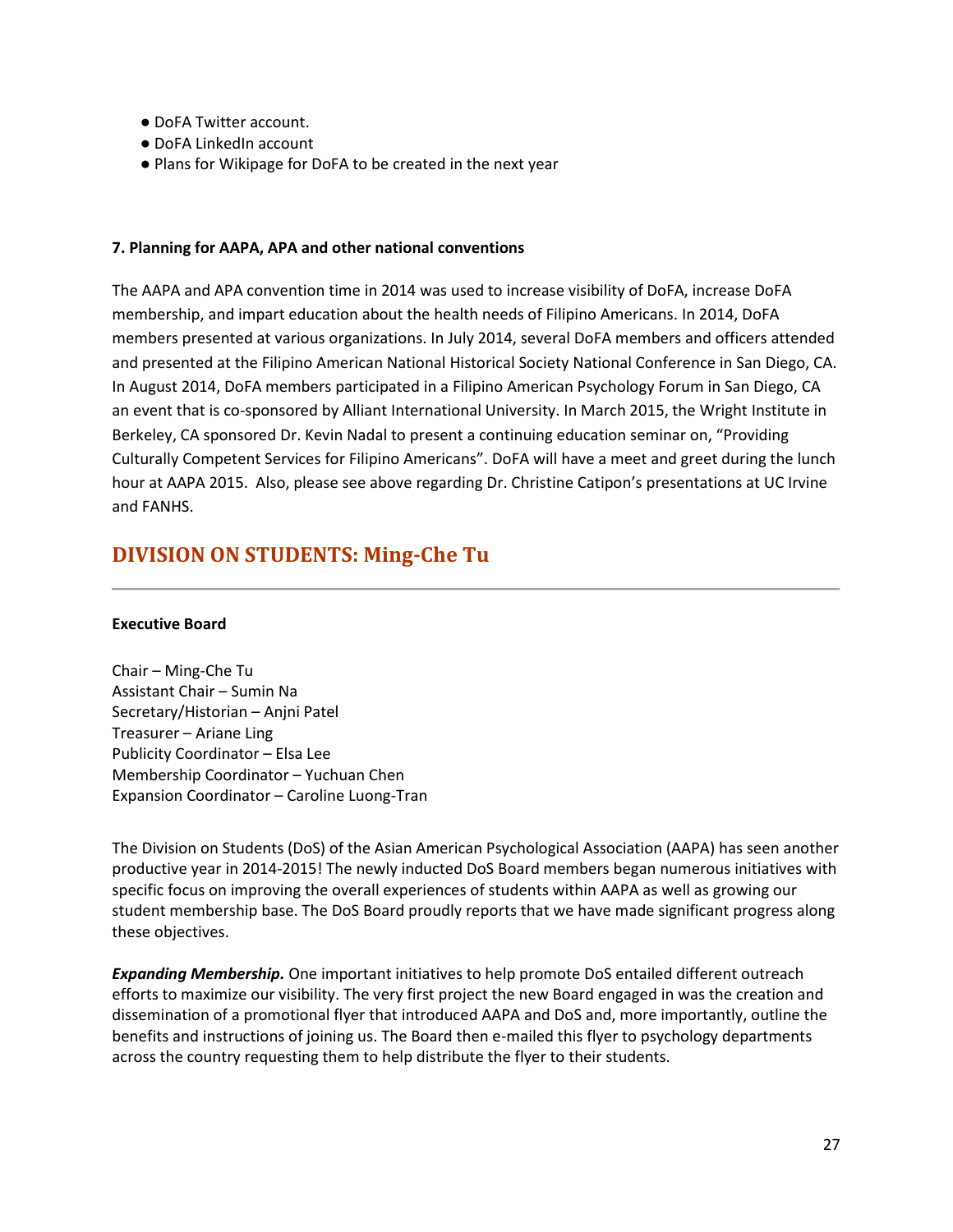- DoFA Twitter account.
- DoFA LinkedIn account
- Plans for Wikipage for DoFA to be created in the next year

### **7. Planning for AAPA, APA and other national conventions**

The AAPA and APA convention time in 2014 was used to increase visibility of DoFA, increase DoFA membership, and impart education about the health needs of Filipino Americans. In 2014, DoFA members presented at various organizations. In July 2014, several DoFA members and officers attended and presented at the Filipino American National Historical Society National Conference in San Diego, CA. In August 2014, DoFA members participated in a Filipino American Psychology Forum in San Diego, CA an event that is co-sponsored by Alliant International University. In March 2015, the Wright Institute in Berkeley, CA sponsored Dr. Kevin Nadal to present a continuing education seminar on, "Providing Culturally Competent Services for Filipino Americans". DoFA will have a meet and greet during the lunch hour at AAPA 2015. Also, please see above regarding Dr. Christine Catipon's presentations at UC Irvine and FANHS.

## <span id="page-26-0"></span>**DIVISION ON STUDENTS: Ming-Che Tu**

### **Executive Board**

Chair – Ming-Che Tu Assistant Chair – Sumin Na Secretary/Historian – Anjni Patel Treasurer – Ariane Ling Publicity Coordinator – Elsa Lee Membership Coordinator – Yuchuan Chen Expansion Coordinator – Caroline Luong-Tran

The Division on Students (DoS) of the Asian American Psychological Association (AAPA) has seen another productive year in 2014-2015! The newly inducted DoS Board members began numerous initiatives with specific focus on improving the overall experiences of students within AAPA as well as growing our student membership base. The DoS Board proudly reports that we have made significant progress along these objectives.

*Expanding Membership.* One important initiatives to help promote DoS entailed different outreach efforts to maximize our visibility. The very first project the new Board engaged in was the creation and dissemination of a promotional flyer that introduced AAPA and DoS and, more importantly, outline the benefits and instructions of joining us. The Board then e-mailed this flyer to psychology departments across the country requesting them to help distribute the flyer to their students.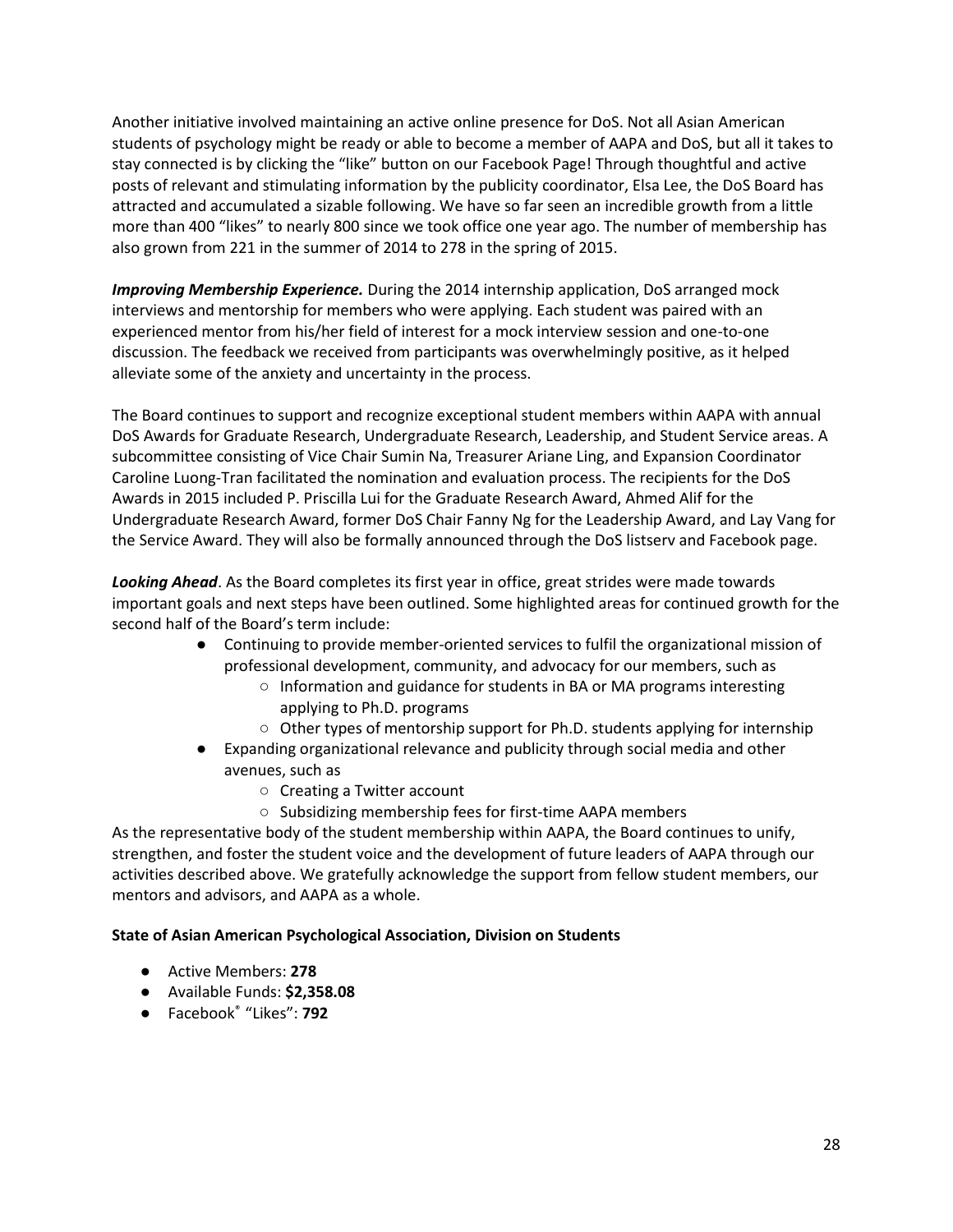Another initiative involved maintaining an active online presence for DoS. Not all Asian American students of psychology might be ready or able to become a member of AAPA and DoS, but all it takes to stay connected is by clicking the "like" button on our Facebook Page! Through thoughtful and active posts of relevant and stimulating information by the publicity coordinator, Elsa Lee, the DoS Board has attracted and accumulated a sizable following. We have so far seen an incredible growth from a little more than 400 "likes" to nearly 800 since we took office one year ago. The number of membership has also grown from 221 in the summer of 2014 to 278 in the spring of 2015.

*Improving Membership Experience.* During the 2014 internship application, DoS arranged mock interviews and mentorship for members who were applying. Each student was paired with an experienced mentor from his/her field of interest for a mock interview session and one-to-one discussion. The feedback we received from participants was overwhelmingly positive, as it helped alleviate some of the anxiety and uncertainty in the process.

The Board continues to support and recognize exceptional student members within AAPA with annual DoS Awards for Graduate Research, Undergraduate Research, Leadership, and Student Service areas. A subcommittee consisting of Vice Chair Sumin Na, Treasurer Ariane Ling, and Expansion Coordinator Caroline Luong-Tran facilitated the nomination and evaluation process. The recipients for the DoS Awards in 2015 included P. Priscilla Lui for the Graduate Research Award, Ahmed Alif for the Undergraduate Research Award, former DoS Chair Fanny Ng for the Leadership Award, and Lay Vang for the Service Award. They will also be formally announced through the DoS listserv and Facebook page.

*Looking Ahead*. As the Board completes its first year in office, great strides were made towards important goals and next steps have been outlined. Some highlighted areas for continued growth for the second half of the Board's term include:

- Continuing to provide member-oriented services to fulfil the organizational mission of professional development, community, and advocacy for our members, such as
	- Information and guidance for students in BA or MA programs interesting applying to Ph.D. programs
	- $\circ$  Other types of mentorship support for Ph.D. students applying for internship
- Expanding organizational relevance and publicity through social media and other avenues, such as
	- Creating a Twitter account
	- Subsidizing membership fees for first-time AAPA members

As the representative body of the student membership within AAPA, the Board continues to unify, strengthen, and foster the student voice and the development of future leaders of AAPA through our activities described above. We gratefully acknowledge the support from fellow student members, our mentors and advisors, and AAPA as a whole.

## **State of Asian American Psychological Association, Division on Students**

- Active Members: **278**
- Available Funds: **\$2,358.08**
- Facebook® "Likes": **792**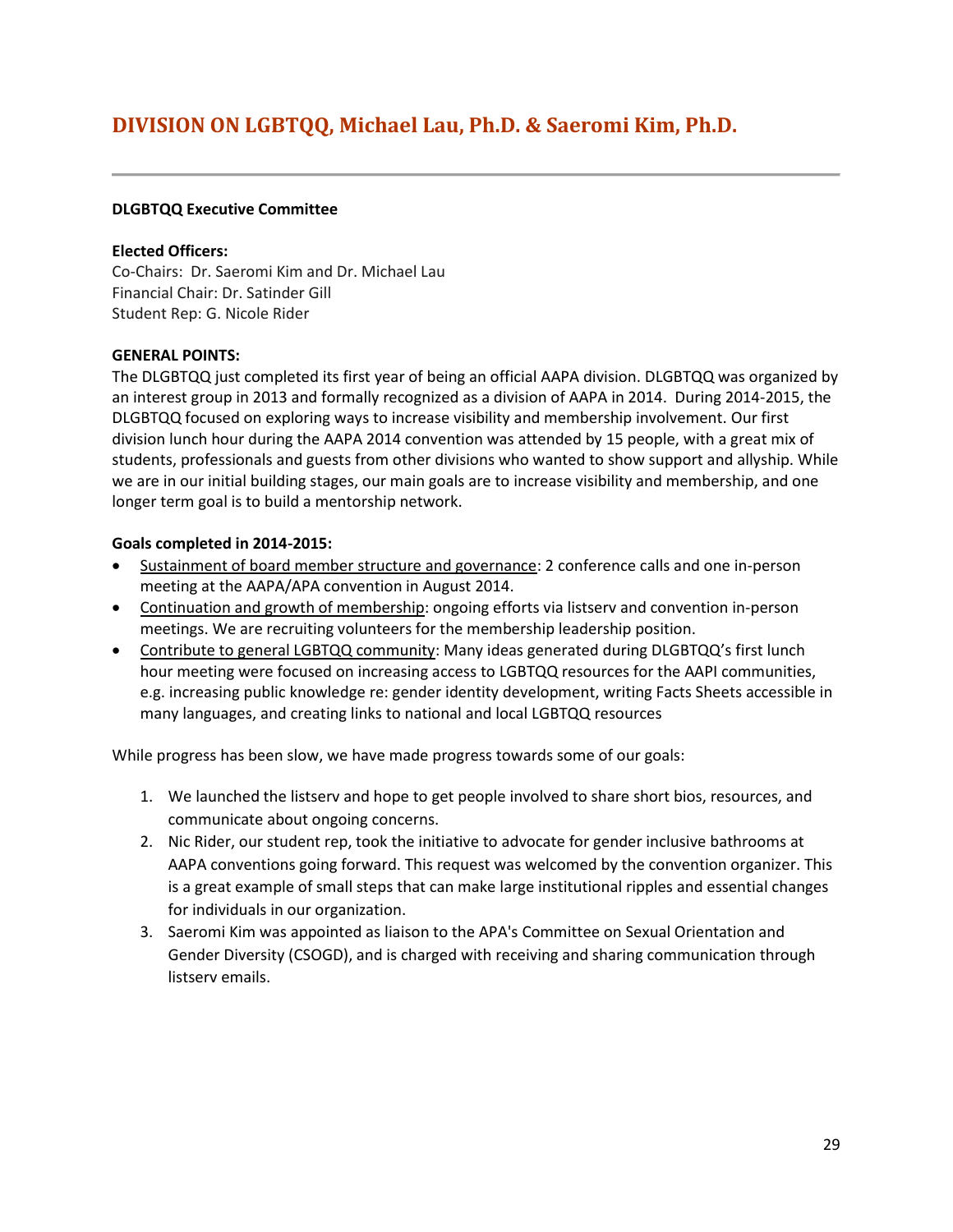## <span id="page-28-0"></span>**DIVISION ON LGBTQQ, Michael Lau, Ph.D. & Saeromi Kim, Ph.D.**

#### **DLGBTQQ Executive Committee**

#### **Elected Officers:**

Co-Chairs: Dr. Saeromi Kim and Dr. Michael Lau Financial Chair: Dr. Satinder Gill Student Rep: G. Nicole Rider

#### **GENERAL POINTS:**

The DLGBTQQ just completed its first year of being an official AAPA division. DLGBTQQ was organized by an interest group in 2013 and formally recognized as a division of AAPA in 2014. During 2014-2015, the DLGBTQQ focused on exploring ways to increase visibility and membership involvement. Our first division lunch hour during the AAPA 2014 convention was attended by 15 people, with a great mix of students, professionals and guests from other divisions who wanted to show support and allyship. While we are in our initial building stages, our main goals are to increase visibility and membership, and one longer term goal is to build a mentorship network.

#### **Goals completed in 2014-2015:**

- Sustainment of board member structure and governance: 2 conference calls and one in-person meeting at the AAPA/APA convention in August 2014.
- Continuation and growth of membership: ongoing efforts via listserv and convention in-person meetings. We are recruiting volunteers for the membership leadership position.
- Contribute to general LGBTQQ community: Many ideas generated during DLGBTQQ's first lunch hour meeting were focused on increasing access to LGBTQQ resources for the AAPI communities, e.g. increasing public knowledge re: gender identity development, writing Facts Sheets accessible in many languages, and creating links to national and local LGBTQQ resources

While progress has been slow, we have made progress towards some of our goals:

- 1. We launched the listserv and hope to get people involved to share short bios, resources, and communicate about ongoing concerns.
- 2. Nic Rider, our student rep, took the initiative to advocate for gender inclusive bathrooms at AAPA conventions going forward. This request was welcomed by the convention organizer. This is a great example of small steps that can make large institutional ripples and essential changes for individuals in our organization.
- 3. Saeromi Kim was appointed as liaison to the APA's Committee on Sexual Orientation and Gender Diversity (CSOGD), and is charged with receiving and sharing communication through listserv emails.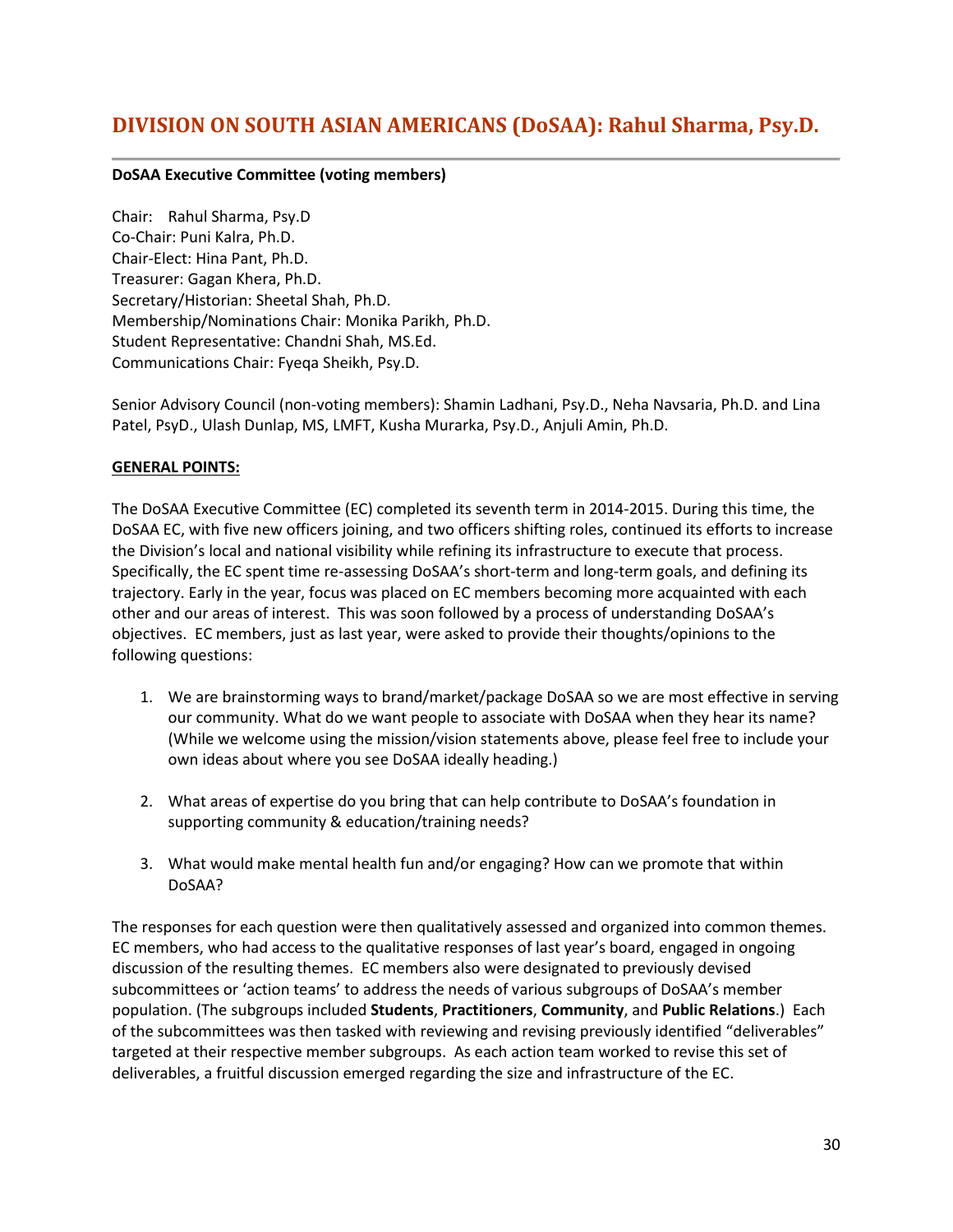## <span id="page-29-0"></span>**DIVISION ON SOUTH ASIAN AMERICANS (DoSAA): Rahul Sharma, Psy.D.**

## **DoSAA Executive Committee (voting members)**

Chair: Rahul Sharma, Psy.D Co-Chair: Puni Kalra, Ph.D. Chair-Elect: Hina Pant, Ph.D. Treasurer: Gagan Khera, Ph.D. Secretary/Historian: Sheetal Shah, Ph.D. Membership/Nominations Chair: Monika Parikh, Ph.D. Student Representative: Chandni Shah, MS.Ed. Communications Chair: Fyeqa Sheikh, Psy.D.

Senior Advisory Council (non-voting members): Shamin Ladhani, Psy.D., Neha Navsaria, Ph.D. and Lina Patel, PsyD., Ulash Dunlap, MS, LMFT, Kusha Murarka, Psy.D., Anjuli Amin, Ph.D.

#### **GENERAL POINTS:**

The DoSAA Executive Committee (EC) completed its seventh term in 2014-2015. During this time, the DoSAA EC, with five new officers joining, and two officers shifting roles, continued its efforts to increase the Division's local and national visibility while refining its infrastructure to execute that process. Specifically, the EC spent time re-assessing DoSAA's short-term and long-term goals, and defining its trajectory. Early in the year, focus was placed on EC members becoming more acquainted with each other and our areas of interest. This was soon followed by a process of understanding DoSAA's objectives. EC members, just as last year, were asked to provide their thoughts/opinions to the following questions:

- 1. We are brainstorming ways to brand/market/package DoSAA so we are most effective in serving our community. What do we want people to associate with DoSAA when they hear its name? (While we welcome using the mission/vision statements above, please feel free to include your own ideas about where you see DoSAA ideally heading.)
- 2. What areas of expertise do you bring that can help contribute to DoSAA's foundation in supporting community & education/training needs?
- 3. What would make mental health fun and/or engaging? How can we promote that within DoSAA?

The responses for each question were then qualitatively assessed and organized into common themes. EC members, who had access to the qualitative responses of last year's board, engaged in ongoing discussion of the resulting themes. EC members also were designated to previously devised subcommittees or 'action teams' to address the needs of various subgroups of DoSAA's member population. (The subgroups included **Students**, **Practitioners**, **Community**, and **Public Relations**.) Each of the subcommittees was then tasked with reviewing and revising previously identified "deliverables" targeted at their respective member subgroups. As each action team worked to revise this set of deliverables, a fruitful discussion emerged regarding the size and infrastructure of the EC.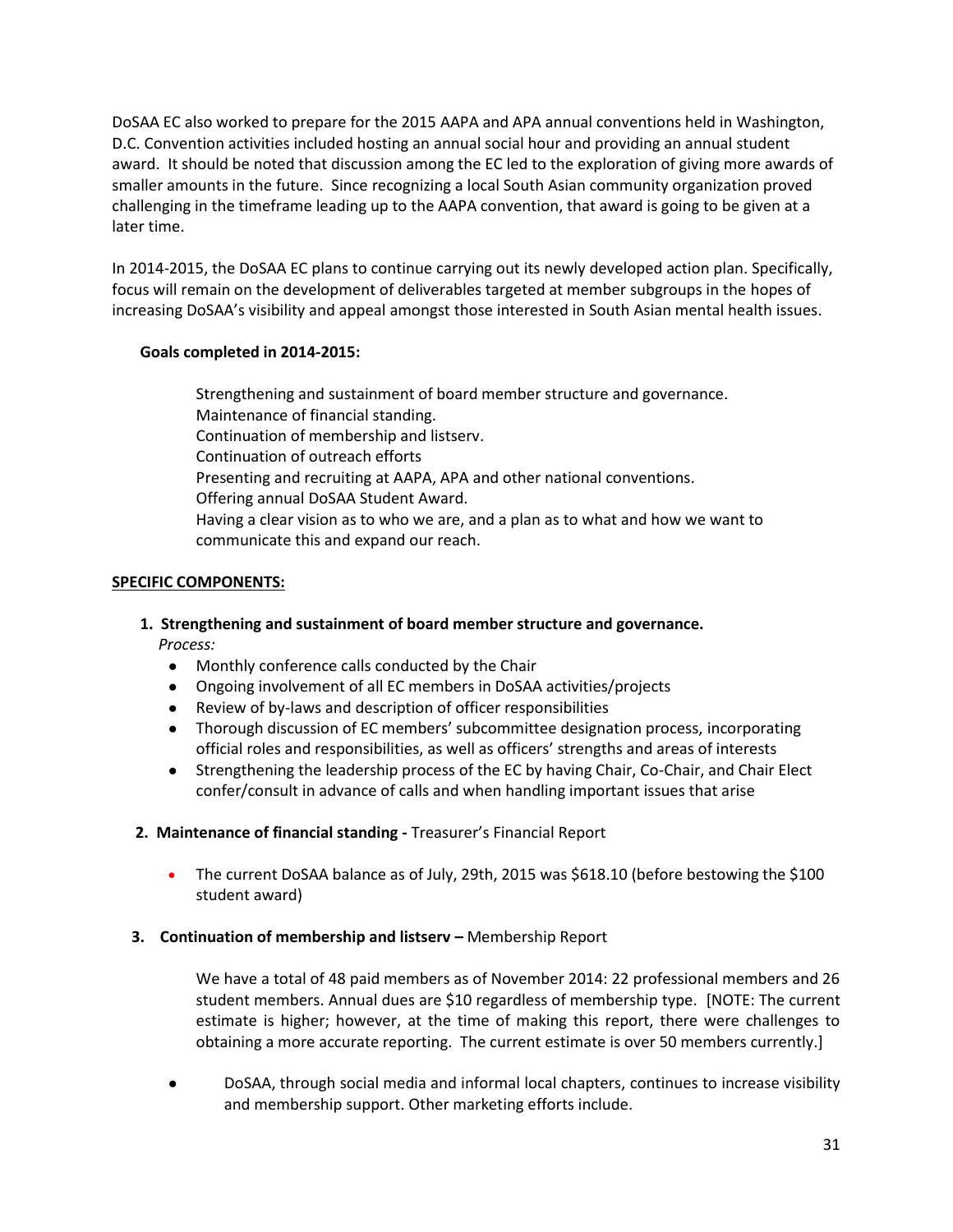DoSAA EC also worked to prepare for the 2015 AAPA and APA annual conventions held in Washington, D.C. Convention activities included hosting an annual social hour and providing an annual student award. It should be noted that discussion among the EC led to the exploration of giving more awards of smaller amounts in the future. Since recognizing a local South Asian community organization proved challenging in the timeframe leading up to the AAPA convention, that award is going to be given at a later time.

In 2014-2015, the DoSAA EC plans to continue carrying out its newly developed action plan. Specifically, focus will remain on the development of deliverables targeted at member subgroups in the hopes of increasing DoSAA's visibility and appeal amongst those interested in South Asian mental health issues.

## **Goals completed in 2014-2015:**

Strengthening and sustainment of board member structure and governance. Maintenance of financial standing. Continuation of membership and listserv. Continuation of outreach efforts Presenting and recruiting at AAPA, APA and other national conventions. Offering annual DoSAA Student Award. Having a clear vision as to who we are, and a plan as to what and how we want to communicate this and expand our reach.

## **SPECIFIC COMPONENTS:**

## **1. Strengthening and sustainment of board member structure and governance.** *Process:*

- Monthly conference calls conducted by the Chair
- Ongoing involvement of all EC members in DoSAA activities/projects
- Review of by-laws and description of officer responsibilities
- Thorough discussion of EC members' subcommittee designation process, incorporating official roles and responsibilities, as well as officers' strengths and areas of interests
- Strengthening the leadership process of the EC by having Chair, Co-Chair, and Chair Elect confer/consult in advance of calls and when handling important issues that arise

## **2. Maintenance of financial standing -** Treasurer's Financial Report

 The current DoSAA balance as of July, 29th, 2015 was \$618.10 (before bestowing the \$100 student award)

## **3. Continuation of membership and listserv –** Membership Report

We have a total of 48 paid members as of November 2014: 22 professional members and 26 student members. Annual dues are \$10 regardless of membership type. [NOTE: The current estimate is higher; however, at the time of making this report, there were challenges to obtaining a more accurate reporting. The current estimate is over 50 members currently.]

DoSAA, through social media and informal local chapters, continues to increase visibility and membership support. Other marketing efforts include.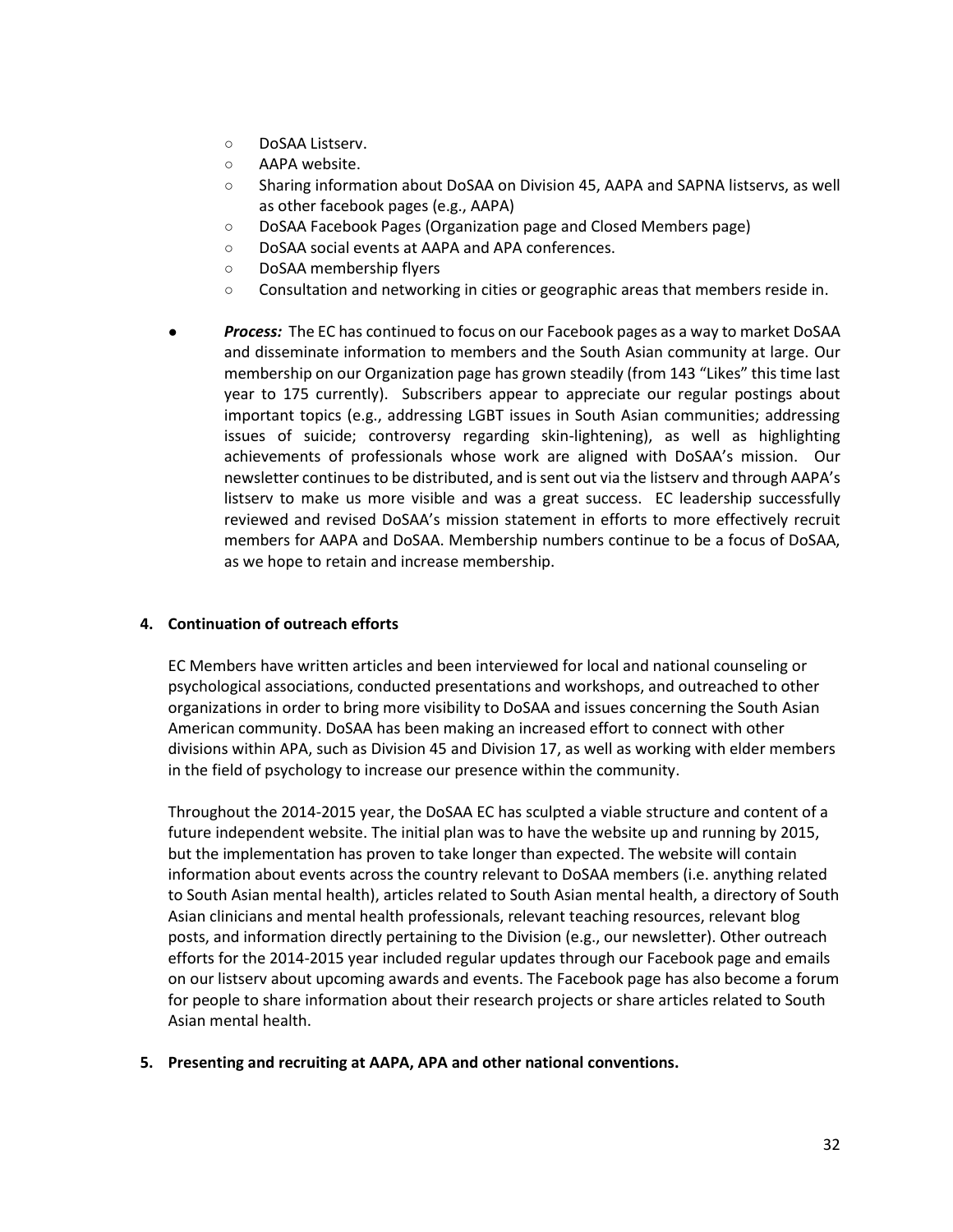- DoSAA Listserv.
- AAPA website.
- Sharing information about DoSAA on Division 45, AAPA and SAPNA listservs, as well as other facebook pages (e.g., AAPA)
- DoSAA Facebook Pages (Organization page and Closed Members page)
- DoSAA social events at AAPA and APA conferences.
- DoSAA membership flyers
- Consultation and networking in cities or geographic areas that members reside in.
- Process: The EC has continued to focus on our Facebook pages as a way to market DoSAA and disseminate information to members and the South Asian community at large. Our membership on our Organization page has grown steadily (from 143 "Likes" this time last year to 175 currently). Subscribers appear to appreciate our regular postings about important topics (e.g., addressing LGBT issues in South Asian communities; addressing issues of suicide; controversy regarding skin-lightening), as well as highlighting achievements of professionals whose work are aligned with DoSAA's mission. Our newsletter continues to be distributed, and is sent out via the listserv and through AAPA's listserv to make us more visible and was a great success. EC leadership successfully reviewed and revised DoSAA's mission statement in efforts to more effectively recruit members for AAPA and DoSAA. Membership numbers continue to be a focus of DoSAA, as we hope to retain and increase membership.

## **4. Continuation of outreach efforts**

EC Members have written articles and been interviewed for local and national counseling or psychological associations, conducted presentations and workshops, and outreached to other organizations in order to bring more visibility to DoSAA and issues concerning the South Asian American community. DoSAA has been making an increased effort to connect with other divisions within APA, such as Division 45 and Division 17, as well as working with elder members in the field of psychology to increase our presence within the community.

Throughout the 2014-2015 year, the DoSAA EC has sculpted a viable structure and content of a future independent website. The initial plan was to have the website up and running by 2015, but the implementation has proven to take longer than expected. The website will contain information about events across the country relevant to DoSAA members (i.e. anything related to South Asian mental health), articles related to South Asian mental health, a directory of South Asian clinicians and mental health professionals, relevant teaching resources, relevant blog posts, and information directly pertaining to the Division (e.g., our newsletter). Other outreach efforts for the 2014-2015 year included regular updates through our Facebook page and emails on our listserv about upcoming awards and events. The Facebook page has also become a forum for people to share information about their research projects or share articles related to South Asian mental health.

## **5. Presenting and recruiting at AAPA, APA and other national conventions.**